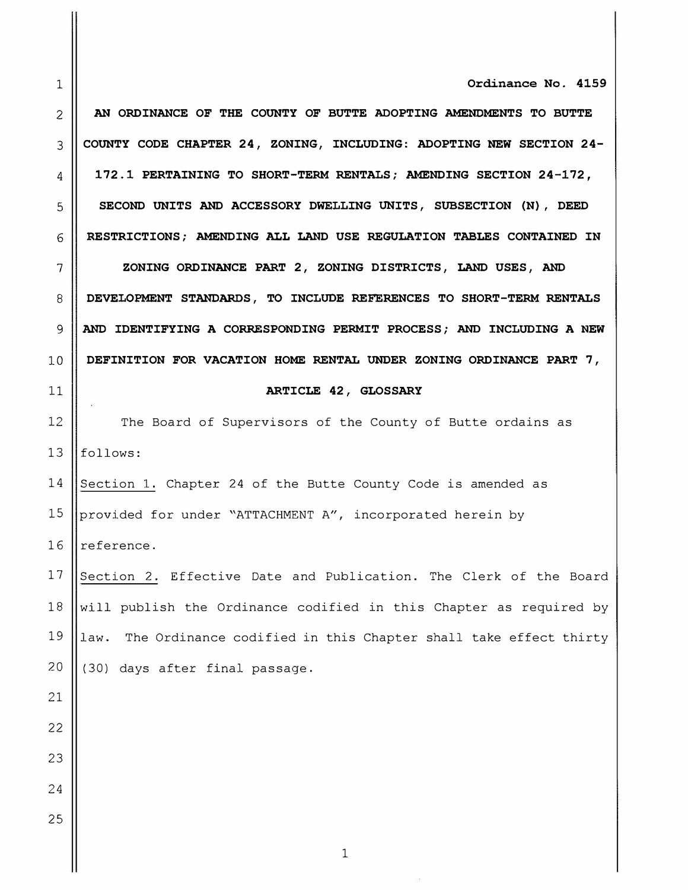**1 Ordinance No. 4159** 

2 **AN ORDINANCE OF THE COUNTY OF BUTTE ADOPTING AMENDMENTS TO BUTTE 3 COUNTY CODE CHAPTER 24, ZONING, INCLUDING: ADOPTING NEW SECTION 24- 4 172.1 PERTAINING TO SHORT-TERM RENTALS; AMENDING SECTION 24-172,**  5 | SECOND UNITS AND ACCESSORY DWELLING UNITS, SUBSECTION (N), DEED **6 RESTRICTIONS; AMENDING ALL LAND USE REGULATION TABLES CONTAINED IN 7 || ZONING ORDINANCE PART 2, ZONING DISTRICTS, LAND USES, AND 8 DEVELOPMENT STANDARDS, TO INCLUDE REFERENCES TO SHORT-TERM RENTALS 9 AND IDENTIFYING A CORRESPONDING PERMIT PROCESS; AND INCLUDING A NEW** 

10 **DEFINITION FOR VACATION HOME RENTAL UNDER ZONING ORDINANCE PART 7,** 

#### **11 || ARTICLE 42, GLOSSARY**

12 | The Board of Supervisors of the County of Butte ordains as  $13$  ||follows:

14 Section 1. Chapter 24 of the Butte County Code is amended as 15 | provided for under "ATTACHMENT A", incorporated herein by 16  $\parallel$  reference.

17 Section 2. Effective Date and Publication. The Clerk of the Board  $\vert$  will publish the Ordinance codified in this Chapter as required by ||law. The Ordinance codified in this Chapter shall take effect thirty  $(30)$  days after final passage.

21

22

23

24

25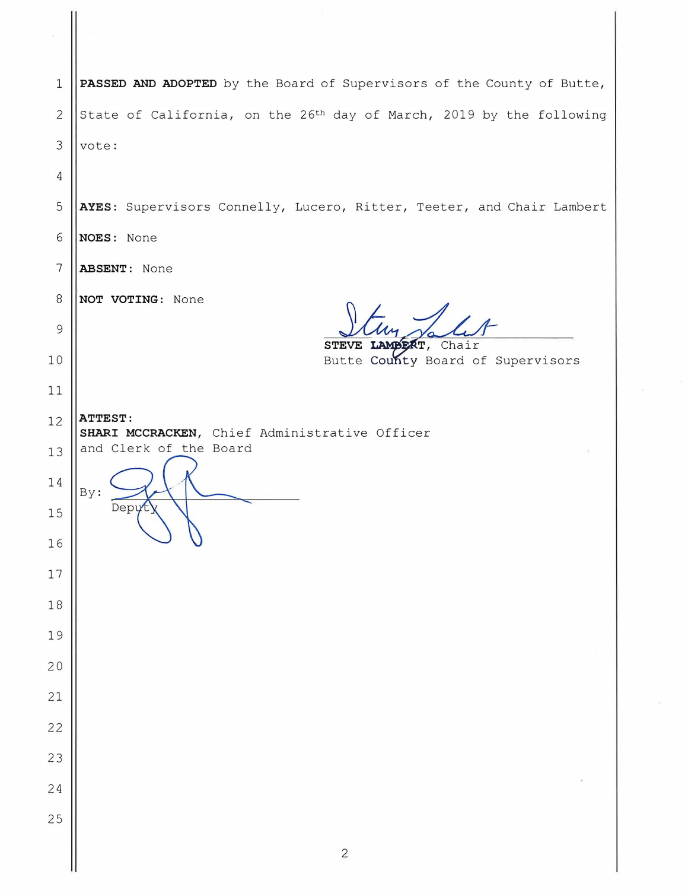**PASSED AND ADOPTED** by the Board of Supervisors of the County of Butte, 2 State of California, on the 26<sup>th</sup> day of March, 2019 by the following | vote:

**AYES:** Supervisors Connelly, Lucero, Ritter, Teeter, and Chair Lambert

**NOES:** None

**ABSENT:** None

**NOT VOTING:** None

Depyty

**STEVE LAMBERT, Chair**<br>Putte Causty Beard Butte <mark>Cou**n**ty Board of Supervisors</mark>

**ATTEST: SHARI MCCRACKEN,** Chief Administrative Officer and Clerk of the Board

 

By: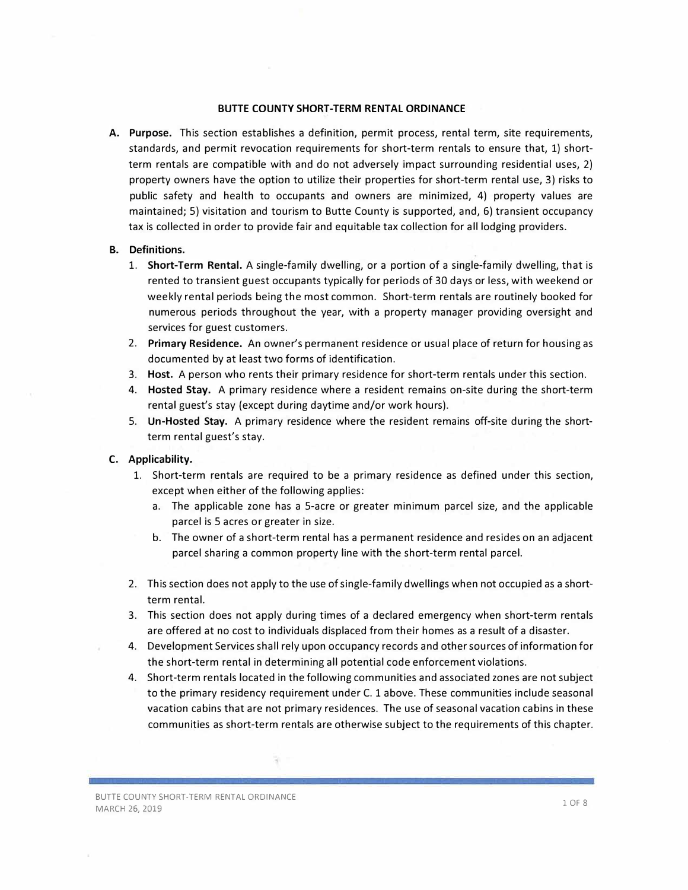#### **BUTTE COUNTY SHORT-TERM RENTAL ORDINANCE**

**A. Purpose.** This section establishes a definition, permit process, rental term, site requirements, standards, and permit revocation requirements for short-term rentals to ensure that, 1) shortterm rentals are compatible with and do not adversely impact surrounding residential uses, 2) property owners have the option to utilize their properties for short-term rental use, 3) risks to public safety and health to occupants and owners are minimized, 4) property values are maintained; 5) visitation and tourism to Butte County is supported, and, 6) transient occupancy tax is collected in order to provide fair and equitable tax collection for all lodging providers.

#### **B. Definitions.**

- 1. **Short-Term Rental.** A single-family dwelling, or a portion of a single-family dwelling, that is rented to transient guest occupants typically for periods of 30 days or less, with weekend or weekly rental periods being the most common. Short-term rentals are routinely booked for numerous periods throughout the year, with a property manager providing oversight and services for guest customers.
- 2. **Primary Residence.** An owner's permanent residence or usual place of return for housing as documented by at least two forms of identification.
- 3. **Host.** A person who rents their primary residence for short-term rentals under this section.
- 4. **Hosted Stay.** A primary residence where a resident remains on-site during the short-term rental guest's stay (except during daytime and/or work hours).
- 5. **Un-Hosted Stay.** A primary residence where the resident remains off-site during the shortterm rental guest's stay.

#### **C. Applicability.**

- 1. Short-term rentals are required to be a primary residence as defined under this section, except when either of the following applies:
	- a. The applicable zone has a 5-acre or greater minimum parcel size, and the applicable parcel is 5 acres or greater in size.
	- b. The owner of a short-term rental has a permanent residence and resides on an adjacent parcel sharing a common property line with the short-term rental parcel.
- 2. This section does not apply to the use of single-family dwellings when not occupied as a shortterm rental.
- 3. This section does not apply during times of a declared emergency when short-term rentals are offered at no cost to individuals displaced from their homes as a result of a disaster.
- 4. Development Services shall rely upon occupancy records and other sources of information for the short-term rental in determining all potential code enforcement violations.
- 4. Short-term rentals located in the following communities and associated zones are not subject to the primary residency requirement under C. 1 above. These communities include seasonal vacation cabins that are not primary residences. The use of seasonal vacation cabins in these communities as short-term rentals are otherwise subject to the requirements of this chapter.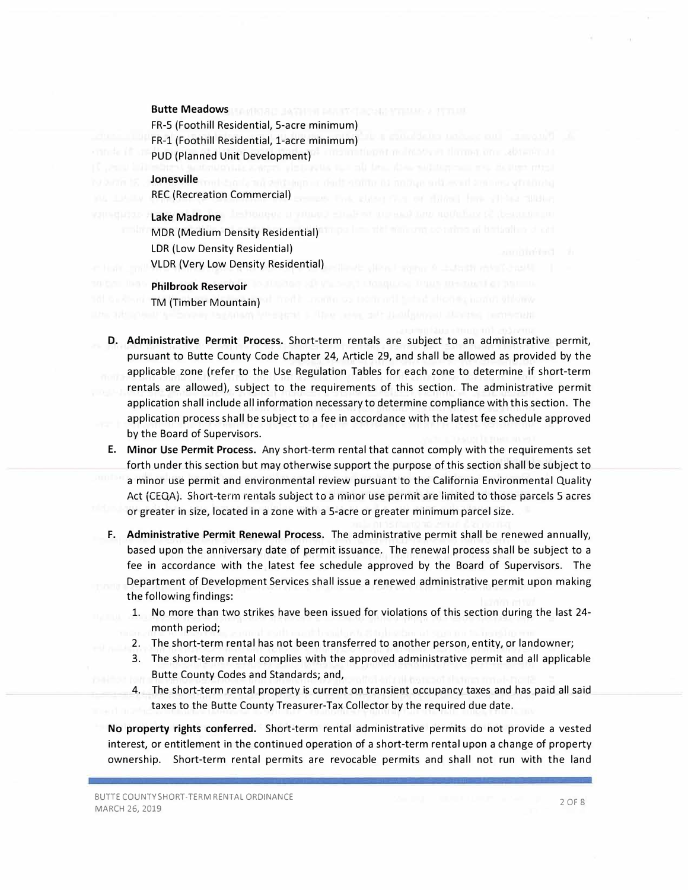#### **Butte Meadows**

FR-5 (Foothill Residential, 5-acre minimum) FR-1 (Foothill Residential, 1-acre minimum) PUD (Planned Unit Development)

**Jonesville**  REC (Recreation Commercial)

#### **Lake Madrone**

MOR (Medium Density Residential) LOR (Low Density Residential) VLDR (Very Low Density Residential)

#### **Philbrook Reservoir**

TM (Timber Mountain)

- **D. Administrative Permit Process.** Short-term rentals are subject to an administrative permit, pursuant to Butte County Code Chapter 24, Article 29, and shall be allowed as provided by the applicable zone (refer to the Use Regulation Tables for each zone to determine if short-term rentals are allowed), subject to the requirements of this section. The administrative permit application shall include all information necessary to determine compliance with this section. The application process shall be subject to a fee in accordance with the latest fee schedule approved by the Board of Supervisors.
- **E. Minor Use Permit Process.** Any short-term rental that cannot comply with the requirements set forth under this section but may otherwise support the purpose of this section shall be subject to a minor use permit and environmental review pursuant to the California Environmental Quality Act (CEQA). Short-term rentals subject to a minor use permit are limited to those parcels 5 acres or greater in size, located in a zone with a 5-acre or greater minimum parcel size.
- F. **Administrative Permit Renewal Process.** The administrative permit shall be renewed annually, based upon the anniversary date of permit issuance. The renewal process shall be subject to a fee in accordance with the latest fee schedule approved by the Board of Supervisors. The Department of Development Services shall issue a renewed administrative permit upon making the following findings:
	- l. No more than two strikes have been issued for violations of this section during the last 24 month period;
	- 2. The short-term rental has not been transferred to another person, entity, or landowner;
	- 3. The short-term rental complies with the approved administrative permit and all applicable Butte County Codes and Standards; and,
	- 4. The short-term rental property is current on transient occupancy taxes and has paid all said taxes to the Butte County Treasurer-Tax Collector by the required due date.

**No property rights conferred.** Short-term rental administrative permits do not provide a vested interest, or entitlement in the continued operation of a short-term rental upon a change of property ownership. Short-term rental permits are revocable permits and shall not run with the land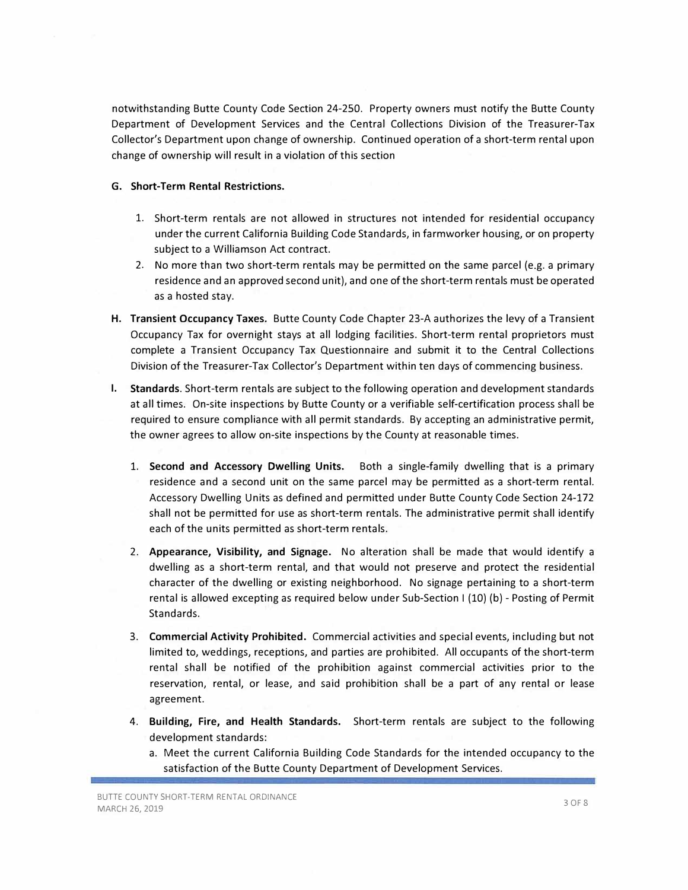notwithstanding Butte County Code Section 24-250. Property owners must notify the Butte County Department of Development Services and the Central Collections Division of the Treasurer-Tax Collector's Department upon change of ownership. Continued operation of a short-term rental upon change of ownership will result in a violation of this section

#### **G. Short-Term Rental Restrictions.**

- 1. Short-term rentals are not allowed in structures not intended for residential occupancy under the current California Building Code Standards, in farmworker housing, or on property subject to a Williamson Act contract.
- 2. No more than two short-term rentals may be permitted on the same parcel (e.g. a primary residence and an approved second unit), and one of the short-term rentals must be operated as a hosted stay.
- **H. Transient Occupancy Taxes.** Butte County Code Chapter 23-A authorizes the levy of a Transient Occupancy Tax for overnight stays at all lodging facilities. Short-term rental proprietors must complete a Transient Occupancy Tax Questionnaire and submit it to the Central Collections Division of the Treasurer-Tax Collector's Department within ten days of commencing business.
- I. **Standards.** Short-term rentals are subject to the following operation and development standards at all times. On-site inspections by Butte County or a verifiable self-certification process shall be required to ensure compliance with all permit standards. By accepting an administrative permit, the owner agrees to allow on-site inspections by the County at reasonable times.
	- 1. **Second and Accessory Dwelling Units.** Both a single-family dwelling that is a primary residence and a second unit on the same parcel may be permitted as a short-term rental. Accessory Dwelling Units as defined and permitted under Butte County Code Section 24-172 shall not be permitted for use as short-term rentals. The administrative permit shall identify each of the units permitted as short-term rentals.
	- 2. **Appearance, Visibility, and Signage.** No alteration shall be made that would identify a dwelling as a short-term rental, and that would not preserve and protect the residential character of the dwelling or existing neighborhood. No signage pertaining to a short-term rental is allowed excepting as required below under Sub-Section I (10) (b) - Posting of Permit Standards.
	- 3. **Commercial Activity Prohibited.** Commercial activities and special events, including but not limited to, weddings, receptions, and parties are prohibited. All occupants of the short-term rental shall be notified of the prohibition against commercial activities prior to the reservation, rental, or lease, and said prohibition shall be a part of any rental or lease agreement.
	- **4. Building, Fire, and Health Standards.** Short-term rentals are subject to the following development standards:
		- a. Meet the current California Building Code Standards for the intended occupancy to the satisfaction of the Butte County Department of Development Services.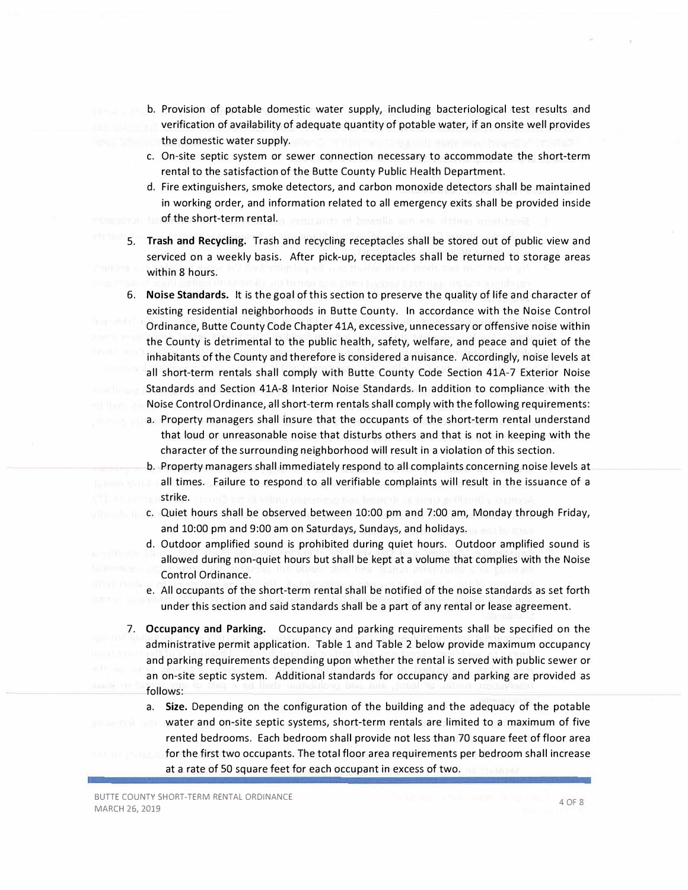- b. Provision of potable domestic water supply, including bacteriological test results and verification of availability of adequate quantity of potable water, if an onsite well provides the domestic water supply.
- c. On-site septic system or sewer connection necessary to accommodate the short-term rental to the satisfaction of the Butte County Public Health Department.
- d. Fire extinguishers, smoke detectors, and carbon monoxide detectors shall be maintained in working order, and information related to all emergency exits shall be provided inside of the short-term rental.
- 5. **Trash and Recycling.** Trash and recycling receptacles shall be stored out of public view and serviced on a weekly basis. After pick-up, receptacles shall be returned to storage areas within 8 hours.
- 6. **Noise Standards.** It is the goal of this section to preserve the quality of life and character of existing residential neighborhoods in Butte County. In accordance with the Noise Control Ordinance, Butte County Code Chapter 41A, excessive, unnecessary or offensive noise within the County is detrimental to the public health, safety, welfare, and peace and quiet of the inhabitants of the County and therefore is considered a nuisance. Accordingly, noise levels at all short-term rentals shall comply with Butte County Code Section 41A-7 Exterior Noise Standards and Section 41A-8 Interior Noise Standards. In addition to compliance with the Noise Control Ordinance, all short-term rentals shall comply with the following requirements:
	- a. Property managers shall insure that the occupants of the short-term rental understand that loud or unreasonable noise that disturbs others and that is not in keeping with the character of the surrounding neighborhood will result in a violation of this section.
	- b. Property managers shall immediately respond to all complaints concerning noise levels at all times. Failure to respond to all verifiable complaints will result in the issuance of a strike.
	- c. Quiet hours shall be observed between 10:00 pm and 7:00 am, Monday through Friday, and 10:00 pm and 9:00 am on Saturdays, Sundays, and holidays.
	- d. Outdoor amplified sound is prohibited during quiet hours. Outdoor amplified sound is allowed during non-quiet hours but shall be kept at a volume that complies with the Noise Control Ordinance.
	- e. All occupants of the short-term rental shall be notified of the noise standards as set forth under this section and said standards shall be a part of any rental or lease agreement.
- 7. **Occupancy and Parking.** Occupancy and parking requirements shall be specified on the administrative permit application. Table 1 and Table 2 below provide maximum occupancy and parking requirements depending upon whether the rental is served with public sewer or an on-site septic system. Additional standards for occupancy and parking are provided as follows:
	- a. **Size.** Depending on the configuration of the building and the adequacy of the potable water and on-site septic systems, short-term rentals are limited to a maximum of five rented bedrooms. Each bedroom shall provide not less than 70 square feet of floor area for the first two occupants. The total floor area requirements per bedroom shall increase at a rate of 50 square feet for each occupant in excess of two.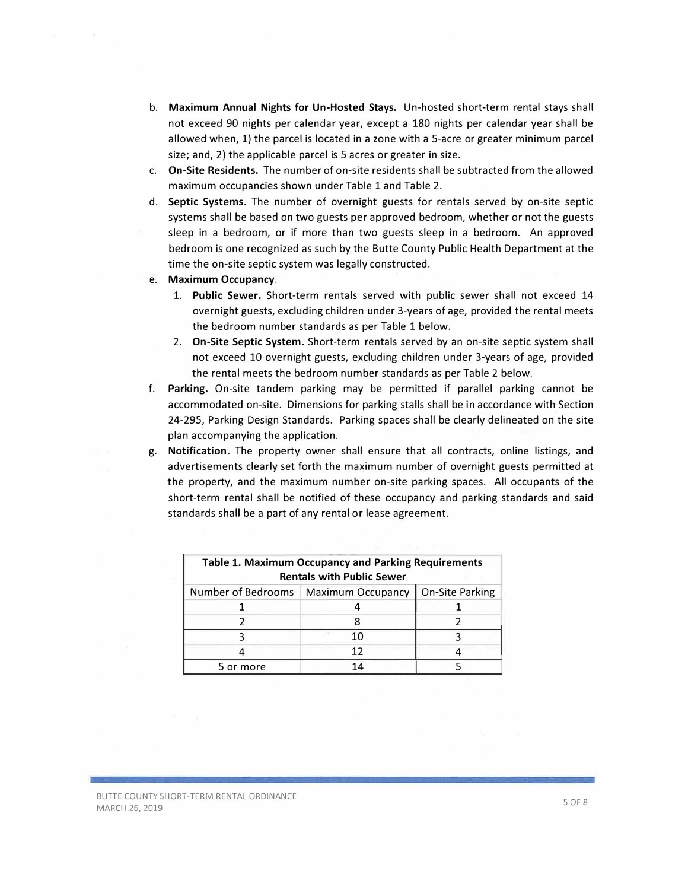- b. **Maximum Annual Nights for Un-Hosted Stays.** Un-hosted short-term rental stays shall not exceed 90 nights per calendar year, except a 180 nights per calendar year shall be allowed when, 1) the parcel is located in a zone with a 5-acre or greater minimum parcel size; and, 2) the applicable parcel is 5 acres or greater in size.
- c. **On-Site Residents.** The number of on-site residents shall be subtracted from the allowed maximum occupancies shown under Table 1 and Table 2.
- d. **Septic Systems.** The number of overnight guests for rentals served by on-site septic systems shall be based on two guests per approved bedroom, whether or not the guests sleep in a bedroom, or if more than two guests sleep in a bedroom. An approved bedroom is one recognized as such by the Butte County Public Health Department at the time the on-site septic system was legally constructed.
- **e. Maximum Occupancy.**
	- 1. **Public Sewer.** Short-term rentals served with public sewer shall not exceed 14 overnight guests, excluding children under 3-years of age, provided the rental meets the bedroom number standards as per Table 1 below.
	- 2. **On-Site Septic System.** Short-term rentals served by an on-site septic system shall not exceed 10 overnight guests, excluding children under 3-years of age, provided the rental meets the bedroom number standards as per Table 2 below.
- f. **Parking.** On-site tandem parking may be permitted if parallel parking cannot be accommodated on-site. Dimensions for parking stalls shall be in accordance with Section 24-295, Parking Design Standards. Parking spaces shall be clearly delineated on the site plan accompanying the application.
- g. **Notification.** The property owner shall ensure that all contracts, online listings, and advertisements clearly set forth the maximum number of overnight guests permitted at the property, and the maximum number on-site parking spaces. All occupants of the short-term rental shall be notified of these occupancy and parking standards and said standards shall be a part of any rental or lease agreement.

| <b>Table 1. Maximum Occupancy and Parking Requirements</b>               |    |  |  |  |  |  |  |  |  |
|--------------------------------------------------------------------------|----|--|--|--|--|--|--|--|--|
| <b>Rentals with Public Sewer</b>                                         |    |  |  |  |  |  |  |  |  |
| Number of Bedrooms<br><b>On-Site Parking</b><br><b>Maximum Occupancy</b> |    |  |  |  |  |  |  |  |  |
|                                                                          |    |  |  |  |  |  |  |  |  |
|                                                                          |    |  |  |  |  |  |  |  |  |
|                                                                          | 10 |  |  |  |  |  |  |  |  |
|                                                                          | 17 |  |  |  |  |  |  |  |  |
| 5 or more                                                                |    |  |  |  |  |  |  |  |  |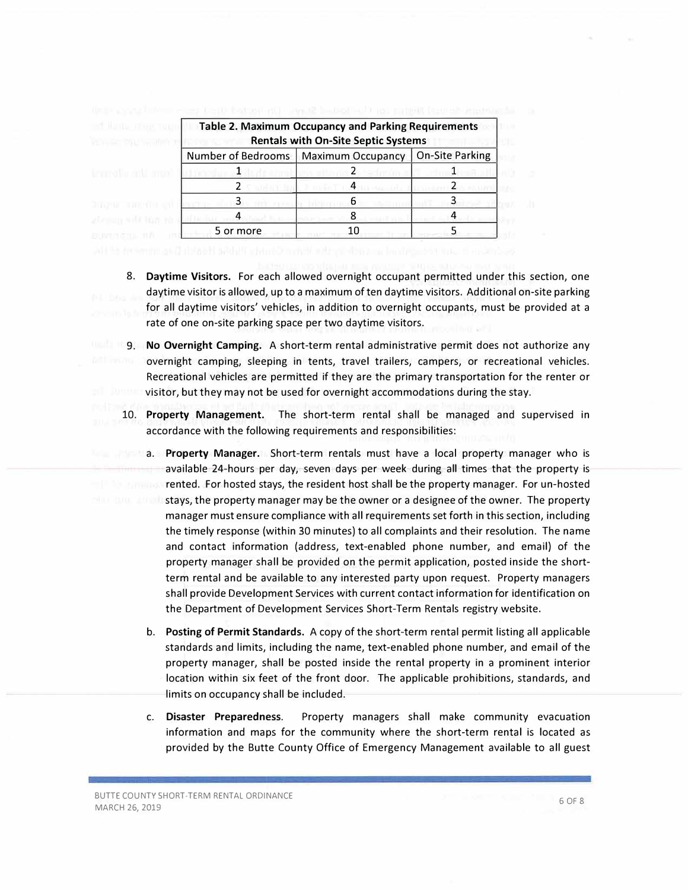| <b>Table 2. Maximum Occupancy and Parking Requirements</b><br><b>Rentals with On-Site Septic Systems</b> |                          |                 |  |  |  |  |  |  |
|----------------------------------------------------------------------------------------------------------|--------------------------|-----------------|--|--|--|--|--|--|
| Number of Bedrooms                                                                                       | <b>Maximum Occupancy</b> | On-Site Parking |  |  |  |  |  |  |
|                                                                                                          |                          |                 |  |  |  |  |  |  |
|                                                                                                          |                          |                 |  |  |  |  |  |  |
|                                                                                                          | h                        |                 |  |  |  |  |  |  |
|                                                                                                          |                          |                 |  |  |  |  |  |  |
| 5 or more                                                                                                |                          |                 |  |  |  |  |  |  |

- 8. **Daytime Visitors.** For each allowed overnight occupant permitted under this section, one daytime visitor is allowed, up to a maximum of ten daytime visitors. Additional on-site parking for all daytime visitors' vehicles, in addition to overnight occupants, must be provided at a rate of one on-site parking space per two daytime visitors.
- 9. **No Overnight Camping.** A short-term rental administrative permit does not authorize any overnight camping, sleeping in tents, travel trailers, campers, or recreational vehicles. Recreational vehicles are permitted if they are the primary transportation for the renter or visitor, but they may not be used for overnight accommodations during the stay.
	- 10. **Property Management.** The short-term rental shall be managed and supervised in accordance with the following requirements and responsibilities:
		- a. **Property Manager.** Short-term rentals must have a local property manager who is available 24-hours per day, seven days per week during all times that the property is rented. For hosted stays, the resident host shall be the property manager. For un-hosted stays, the property manager may be the owner or a designee of the owner. The property manager must ensure compliance with all requirements set forth in this section, including the timely response (within 30 minutes) to all complaints and their resolution. The name and contact information (address, text-enabled phone number, and email) of the property manager shall be provided on the permit application, posted inside the shortterm rental and be available to any interested party upon request. Property managers shall provide Development Services with current contact information for identification on the Department of Development Services Short-Term Rentals registry website.
		- b. **Posting of Permit Standards.** A copy of the short-term rental permit listing all applicable standards and limits, including the name, text-enabled phone number, and email of the property manager, shall be posted inside the rental property in a prominent interior location within six feet of the front door. The applicable prohibitions, standards, and limits on occupancy shall be included.
		- c. **Disaster Preparedness.** Property managers shall make community evacuation information and maps for the community where the short-term rental is located as provided by the Butte County Office of Emergency Management available to all guest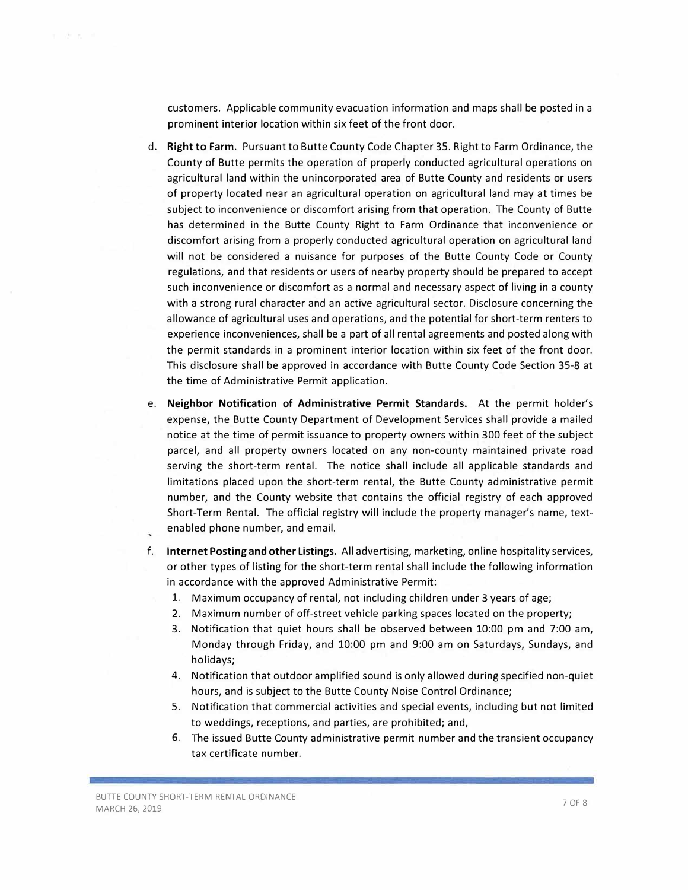customers. Applicable community evacuation information and maps shall be posted in a prominent interior location within six feet of the front door.

- d. **Right to Farm.** Pursuant to Butte County Code Chapter 35. Right to Farm Ordinance, the County of Butte permits the operation of properly conducted agricultural operations on agricultural land within the unincorporated area of Butte County and residents or users of property located near an agricultural operation on agricultural land may at times be subject to inconvenience or discomfort arising from that operation. The County of Butte has determined in the Butte County Right to Farm Ordinance that inconvenience or discomfort arising from a properly conducted agricultural operation on agricultural land will not be considered a nuisance for purposes of the Butte County Code or County regulations, and that residents or users of nearby property should be prepared to accept such inconvenience or discomfort as a normal and necessary aspect of living in a county with a strong rural character and an active agricultural sector. Disclosure concerning the allowance of agricultural uses and operations, and the potential for short-term renters to experience inconveniences, shall be a part of all rental agreements and posted along with the permit standards in a prominent interior location within six feet of the front door. This disclosure shall be approved in accordance with Butte County Code Section 35-8 at the time of Administrative Permit application.
- e. **Neighbor Notification of Administrative Permit Standards.** At the permit holder's expense, the Butte County Department of Development Services shall provide a mailed notice at the time of permit issuance to property owners within 300 feet of the subject parcel, and all property owners located on any non-county maintained private road serving the short-term rental. The notice shall include all applicable standards and limitations placed upon the short-term rental, the Butte County administrative permit number, and the County website that contains the official registry of each approved Short-Term Rental. The official registry will include the property manager's name, textenabled phone number, and email.
- f. **Internet Posting and other Listings.** All advertising, marketing, on line hospitality services, or other types of listing for the short-term rental shall include the following information in accordance with the approved Administrative Permit:
	- 1. Maximum occupancy of rental, not including children under 3 years of age;
	- 2. Maximum number of off-street vehicle parking spaces located on the property;
	- 3. Notification that quiet hours shall be observed between 10:00 pm and 7:00 am, Monday through Friday, and 10:00 pm and 9:00 am on Saturdays, Sundays, and holidays;
	- 4. Notification that outdoor amplified sound is only allowed during specified non-quiet hours, and is subject to the Butte County Noise Control Ordinance;
	- 5. Notification that commercial activities and special events, including but not limited to weddings, receptions, and parties, are prohibited; and,
	- 6. The issued Butte County administrative permit number and the transient occupancy tax certificate number.

. . . .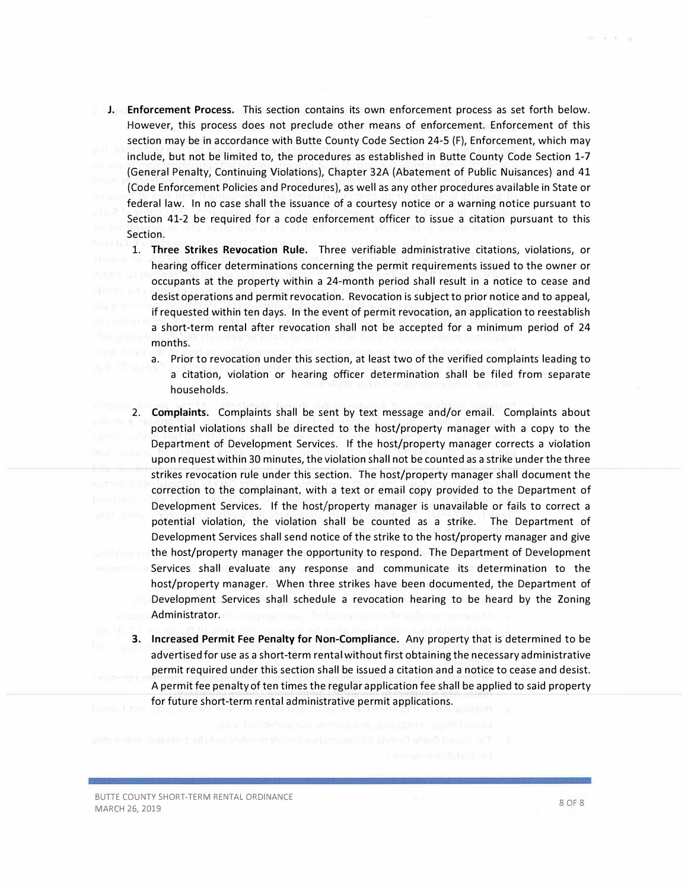- J. **Enforcement Process.** This section contains its own enforcement process as set forth below. However, this process does not preclude other means of enforcement. Enforcement of this section may be in accordance with Butte County Code Section 24-5 (F), Enforcement, which may include, but not be limited to, the procedures as established in Butte County Code Section 1-7 (General Penalty, Continuing Violations), Chapter 32A (Abatement of Public Nuisances) and 41 (Code Enforcement Policies and Procedures), as well as any other procedures available in State or federal law. In no case shall the issuance of a courtesy notice or a warning notice pursuant to Section 41-2 be required for a code enforcement officer to issue a citation pursuant to this Section.
	- 1. **Three Strikes Revocation Rule.** Three verifiable administrative citations, violations, or hearing officer determinations concerning the permit requirements issued to the owner or occupants at the property within a 24-month period shall result in a notice to cease and desist operations and permit revocation. Revocation is subject to prior notice and to appeal, if requested within ten days. In the event of permit revocation, an application to reestablish a short-term rental after revocation shall not be accepted for a minimum period of 24 months.
		- a. Prior to revocation under this section, at least two of the verified complaints leading to a citation, violation or hearing officer determination shall be filed from separate households.
	- 2. **Complaints.** Complaints shall be sent by text message and/or email. Complaints about potential violations shall be directed to the host/property manager with a copy to the Department of Development Services. If the host/property manager corrects a violation upon request within 30 minutes, the violation shall not be counted as a strike under the three strikes revocation rule under this section. The host/property manager shall document the correction to the complainant. with a text or email copy provided to the Department of Development Services. If the host/property manager is unavailable or fails to correct a potential violation, the violation shall be counted as a strike. The Department of Development Services shall send notice of the strike to the host/property manager and give the host/property manager the opportunity to respond. The Department of Development Services shall evaluate any response and communicate its determination to the host/property manager. When three strikes have been documented, the Department of Development Services shall schedule a revocation hearing to be heard by the Zoning Administrator.
	- **3. Increased Permit Fee Penalty for Non-Compliance.** Any property that is determined to be advertised for use as a short-term rental without first obtaining the necessary administrative permit required under this section shall be issued a citation and a notice to cease and desist. A permit fee penalty of ten times the regular application fee shall be applied to said property for future short-term rental administrative permit applications.

BUTIE COUNTY SHORT-TERM RENTAL ORDINANCE MARCH 26, 2019 **8 OF 8**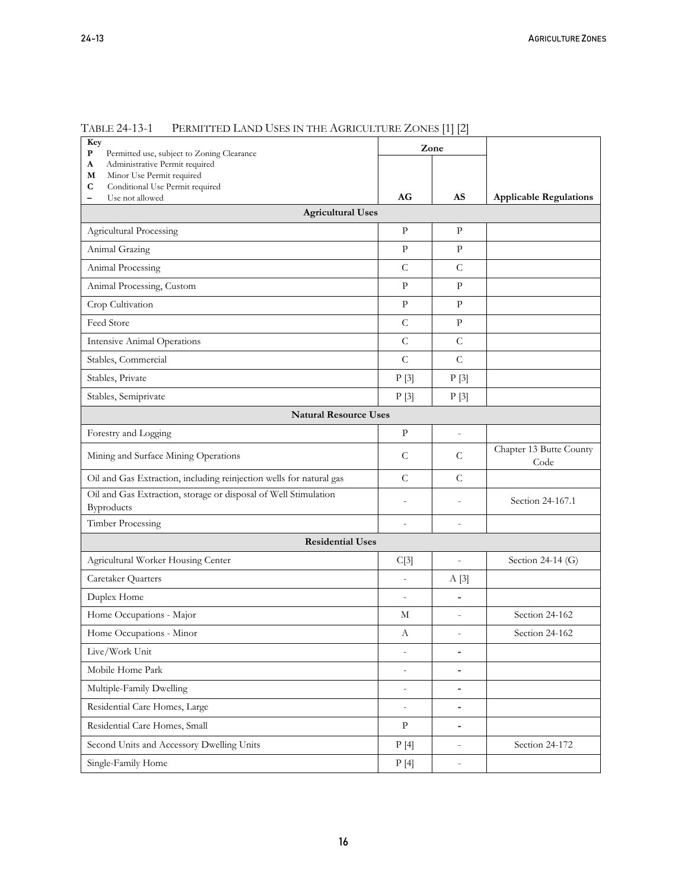| Key<br>P<br>Permitted use, subject to Zoning Clearance                 |                          | Zone                         |                                 |
|------------------------------------------------------------------------|--------------------------|------------------------------|---------------------------------|
| Administrative Permit required<br>A                                    |                          |                              |                                 |
| Minor Use Permit required<br>М<br>Conditional Use Permit required<br>С |                          |                              |                                 |
| Use not allowed<br>$\overline{\phantom{0}}$                            | AG                       | AS                           | <b>Applicable Regulations</b>   |
| <b>Agricultural Uses</b>                                               |                          |                              |                                 |
| <b>Agricultural Processing</b>                                         | P                        | $\mathbf{P}$                 |                                 |
| Animal Grazing                                                         | $\mathbf{P}$             | $\mathbf{P}$                 |                                 |
| Animal Processing                                                      | $\mathcal{C}$            | $\mathsf{C}$                 |                                 |
| Animal Processing, Custom                                              | $\mathbf{P}$             | $\mathbf{P}$                 |                                 |
| Crop Cultivation                                                       | $\mathbf{P}$             | $\mathbf{P}$                 |                                 |
| Feed Store                                                             | $\mathcal{C}$            | $\mathbf{P}$                 |                                 |
| <b>Intensive Animal Operations</b>                                     | $\mathcal{C}$            | $\mathsf{C}$                 |                                 |
| Stables, Commercial                                                    | $\mathcal{C}$            | $\mathcal{C}$                |                                 |
| Stables, Private                                                       | P[3]                     | P[3]                         |                                 |
| Stables, Semiprivate                                                   | P[3]                     | P[3]                         |                                 |
| <b>Natural Resource Uses</b>                                           |                          |                              |                                 |
| Forestry and Logging                                                   | $\mathbf{P}$             | $\overline{a}$               |                                 |
| Mining and Surface Mining Operations                                   | C                        | C                            | Chapter 13 Butte County<br>Code |
| Oil and Gas Extraction, including reinjection wells for natural gas    | $\mathcal{C}$            | $\mathcal{C}$                |                                 |
| Oil and Gas Extraction, storage or disposal of Well Stimulation        | $\overline{a}$           | $\overline{a}$               | Section 24-167.1                |
| Byproducts<br>Timber Processing                                        | $\overline{a}$           | $\overline{a}$               |                                 |
| <b>Residential Uses</b>                                                |                          |                              |                                 |
| Agricultural Worker Housing Center                                     | C[3]                     | $\overline{\phantom{a}}$     | Section 24-14 (G)               |
| Caretaker Quarters                                                     | $\centerdot$             | A[3]                         |                                 |
| Duplex Home                                                            | $\overline{a}$           | $\blacksquare$               |                                 |
| Home Occupations - Major                                               | М                        |                              | Section 24-162                  |
| Home Occupations - Minor                                               | А                        |                              | Section 24-162                  |
| Live/Work Unit                                                         | $\overline{a}$           | $\qquad \qquad \blacksquare$ |                                 |
| Mobile Home Park                                                       | $\qquad \qquad -$        | $\qquad \qquad \blacksquare$ |                                 |
| Multiple-Family Dwelling                                               | $\overline{\phantom{0}}$ | $\blacksquare$               |                                 |
| Residential Care Homes, Large                                          | $\overline{\phantom{m}}$ | $\overline{a}$               |                                 |
| Residential Care Homes, Small                                          | P                        | $\blacksquare$               |                                 |
| Second Units and Accessory Dwelling Units                              | P[4]                     | $\overline{\phantom{a}}$     | Section 24-172                  |
| Single-Family Home                                                     | P[4]                     | $\overline{\phantom{a}}$     |                                 |

TABLE 24-13-1 PERMITTED LAND USES IN THE AGRICULTURE ZONES [1] [2]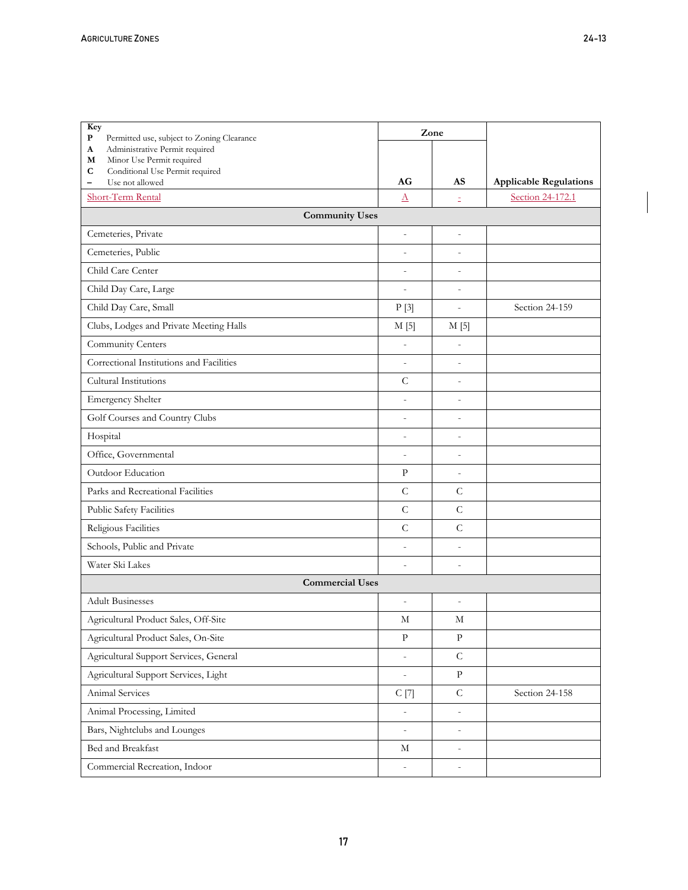**P** Permitted use, subject to Zoning Clearance

**Key** 

**Zone** 

Τ

| Administrative Permit required<br>A<br>Minor Use Permit required<br>M               |                          |                          |                               |
|-------------------------------------------------------------------------------------|--------------------------|--------------------------|-------------------------------|
| C<br>Conditional Use Permit required<br>Use not allowed<br>$\overline{\phantom{0}}$ | AG                       | AS                       | <b>Applicable Regulations</b> |
| Short-Term Rental                                                                   | $\Delta$                 | Ξ                        | Section 24-172.1              |
| <b>Community Uses</b>                                                               |                          |                          |                               |
| Cemeteries, Private                                                                 | $\frac{1}{2}$            | $\overline{a}$           |                               |
| Cemeteries, Public                                                                  | $\overline{\phantom{m}}$ | $\overline{a}$           |                               |
| Child Care Center                                                                   | $\frac{1}{2}$            | $\overline{a}$           |                               |
| Child Day Care, Large                                                               | $\overline{a}$           | $\overline{a}$           |                               |
| Child Day Care, Small                                                               | P[3]                     | $\overline{a}$           | Section 24-159                |
| Clubs, Lodges and Private Meeting Halls                                             | $M$ [5]                  | M[5]                     |                               |
| Community Centers                                                                   | $\overline{\phantom{a}}$ | $\centerdot$             |                               |
| Correctional Institutions and Facilities                                            | $\overline{\phantom{a}}$ | $\qquad \qquad -$        |                               |
| Cultural Institutions                                                               | $\mathsf{C}$             | $\overline{a}$           |                               |
| <b>Emergency Shelter</b>                                                            | $\frac{1}{2}$            | $\overline{a}$           |                               |
| Golf Courses and Country Clubs                                                      | $\frac{1}{2}$            | $\overline{a}$           |                               |
| Hospital                                                                            | $\overline{\phantom{m}}$ | $\overline{a}$           |                               |
| Office, Governmental                                                                | $\overline{\phantom{m}}$ | $\overline{a}$           |                               |
| Outdoor Education                                                                   | $\mathbf{P}$             | $\overline{\phantom{a}}$ |                               |
| Parks and Recreational Facilities                                                   | $\mathsf{C}$             | $\mathcal{C}$            |                               |
| Public Safety Facilities                                                            | $\mathcal{C}$            | $\mathcal{C}$            |                               |
| Religious Facilities                                                                | $\mathcal{C}$            | $\mathcal{C}$            |                               |
| Schools, Public and Private                                                         | $\overline{\phantom{a}}$ | $\centerdot$             |                               |
| Water Ski Lakes                                                                     | $\overline{a}$           | $\overline{a}$           |                               |
| <b>Commercial Uses</b>                                                              |                          |                          |                               |
| <b>Adult Businesses</b>                                                             | $\frac{1}{2}$            | $\overline{a}$           |                               |
| Agricultural Product Sales, Off-Site                                                | М                        | М                        |                               |
| Agricultural Product Sales, On-Site                                                 | $\mathbf{P}$             | $\mathbf{P}$             |                               |
| Agricultural Support Services, General                                              | $\frac{1}{2}$            | $\mathsf C$              |                               |
| Agricultural Support Services, Light                                                | $\overline{\phantom{a}}$ | ${\bf p}$                |                               |
| Animal Services                                                                     | C[7]                     | $\mathsf C$              | Section 24-158                |
| Animal Processing, Limited                                                          | $\Box$                   | $\overline{a}$           |                               |
| Bars, Nightclubs and Lounges                                                        | $\overline{\phantom{a}}$ | $\centerdot$             |                               |
| Bed and Breakfast                                                                   | М                        | $\overline{\phantom{m}}$ |                               |
| Commercial Recreation, Indoor                                                       | $\overline{\phantom{a}}$ | $\overline{a}$           |                               |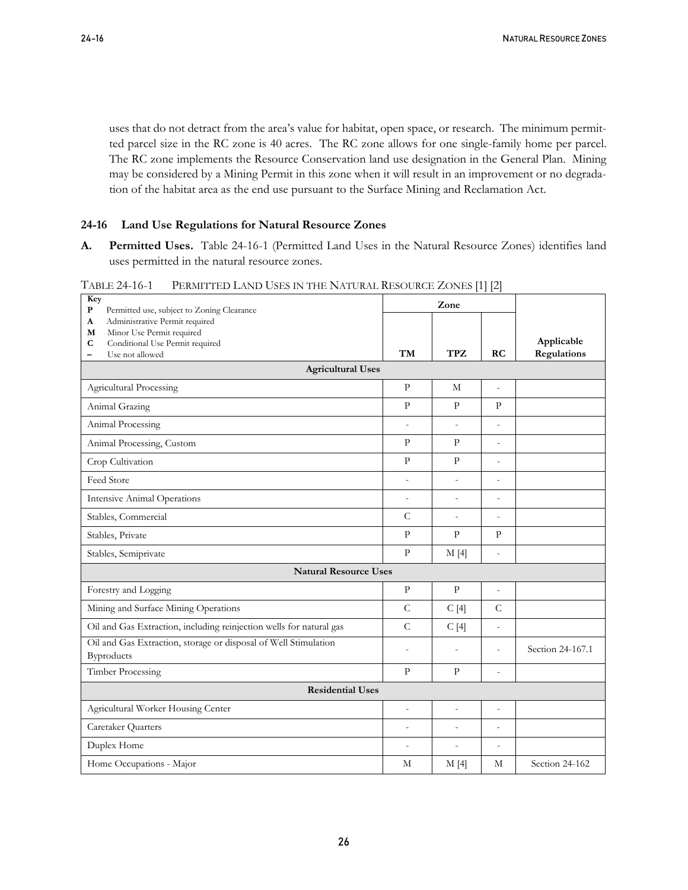uses that do not detract from the area's value for habitat, open space, or research. The minimum permitted parcel size in the RC zone is 40 acres. The RC zone allows for one single-family home per parcel. The RC zone implements the Resource Conservation land use designation in the General Plan. Mining may be considered by a Mining Permit in this zone when it will result in an improvement or no degradation of the habitat area as the end use pursuant to the Surface Mining and Reclamation Act.

#### **24-16 Land Use Regulations for Natural Resource Zones**

**A. Permitted Uses.** Table 24-16-1 (Permitted Land Uses in the Natural Resource Zones) identifies land uses permitted in the natural resource zones.

| Key<br>${\bf P}$                                                                                                                                                                                                     |                          | Zone                     |                          |                           |
|----------------------------------------------------------------------------------------------------------------------------------------------------------------------------------------------------------------------|--------------------------|--------------------------|--------------------------|---------------------------|
| Permitted use, subject to Zoning Clearance<br>Administrative Permit required<br>A<br>Minor Use Permit required<br>M<br>Conditional Use Permit required<br>$\mathbf C$<br>Use not allowed<br>$\overline{\phantom{0}}$ | <b>TM</b>                | <b>TPZ</b>               | RC                       | Applicable<br>Regulations |
| <b>Agricultural Uses</b>                                                                                                                                                                                             |                          |                          |                          |                           |
| <b>Agricultural Processing</b>                                                                                                                                                                                       | $\mathbf{p}$             | M                        | $\overline{a}$           |                           |
| Animal Grazing                                                                                                                                                                                                       | $\mathbf{p}$             | $\mathbf{p}$             | $\mathbf{P}$             |                           |
| Animal Processing                                                                                                                                                                                                    | $\overline{a}$           |                          |                          |                           |
| Animal Processing, Custom                                                                                                                                                                                            | P                        | P                        | $\overline{a}$           |                           |
| Crop Cultivation                                                                                                                                                                                                     | $\mathbf{p}$             | $\mathbf{p}$             | $\overline{a}$           |                           |
| Feed Store                                                                                                                                                                                                           | $\centerdot$             | $\overline{\phantom{a}}$ | $\overline{a}$           |                           |
| <b>Intensive Animal Operations</b>                                                                                                                                                                                   | $\overline{\phantom{a}}$ | $\overline{\phantom{a}}$ | $\overline{a}$           |                           |
| Stables, Commercial                                                                                                                                                                                                  | $\mathsf C$              | $\overline{\phantom{a}}$ | $\overline{a}$           |                           |
| Stables, Private                                                                                                                                                                                                     | $\mathbf{P}$             | $\mathbf{P}$             | $\mathbf{P}$             |                           |
| Stables, Semiprivate                                                                                                                                                                                                 | $\mathbf{p}$             | M[4]                     | $\overline{\phantom{a}}$ |                           |
| <b>Natural Resource Uses</b>                                                                                                                                                                                         |                          |                          |                          |                           |
| Forestry and Logging                                                                                                                                                                                                 | $\mathbf{p}$             | $\mathbf{p}$             | $\overline{a}$           |                           |
| Mining and Surface Mining Operations                                                                                                                                                                                 | $\mathcal{C}$            | C[4]                     | $\mathcal{C}$            |                           |
| Oil and Gas Extraction, including reinjection wells for natural gas                                                                                                                                                  | $\mathsf C$              | C[4]                     | $\overline{a}$           |                           |
| Oil and Gas Extraction, storage or disposal of Well Stimulation<br>Byproducts                                                                                                                                        | $\overline{a}$           | $\overline{a}$           | $\overline{a}$           | Section 24-167.1          |
| <b>Timber Processing</b>                                                                                                                                                                                             | $\mathbf{P}$             | $\mathbf{P}$             | $\overline{a}$           |                           |
| <b>Residential Uses</b>                                                                                                                                                                                              |                          |                          |                          |                           |
| Agricultural Worker Housing Center                                                                                                                                                                                   | $\overline{\phantom{a}}$ | $\overline{\phantom{a}}$ | $\overline{a}$           |                           |
| Caretaker Quarters                                                                                                                                                                                                   | $\overline{a}$           | $\overline{a}$           | ÷,                       |                           |
| Duplex Home                                                                                                                                                                                                          | $\overline{a}$           |                          | ÷,                       |                           |
| Home Occupations - Major                                                                                                                                                                                             | M                        | M[4]                     | M                        | Section 24-162            |

TABLE 24-16-1 PERMITTED LAND USES IN THE NATURAL RESOURCE ZONES [1] [2]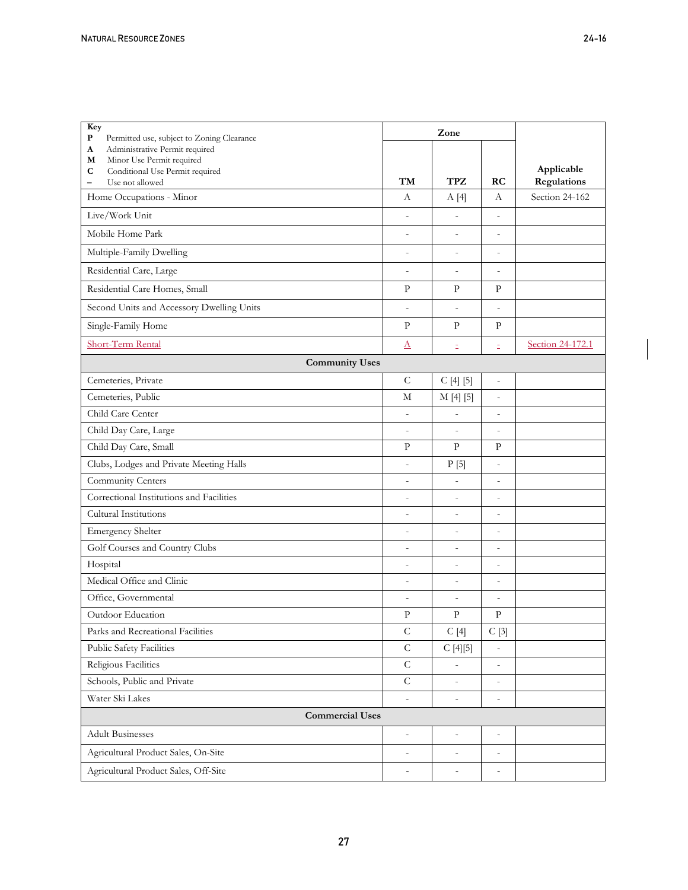| Key<br>${\bf P}$<br>Permitted use, subject to Zoning Clearance         |                          | Zone                     |                          |                  |
|------------------------------------------------------------------------|--------------------------|--------------------------|--------------------------|------------------|
| Administrative Permit required<br>A                                    |                          |                          |                          |                  |
| M<br>Minor Use Permit required<br>Conditional Use Permit required<br>С |                          |                          |                          | Applicable       |
| Use not allowed<br>$\qquad \qquad -$                                   | TМ                       | TPZ                      | RC                       | Regulations      |
| Home Occupations - Minor                                               | А                        | A[4]                     | А                        | Section 24-162   |
| Live/Work Unit                                                         | $\overline{a}$           | $\overline{a}$           | $\overline{a}$           |                  |
| Mobile Home Park                                                       | $\overline{a}$           | $\overline{a}$           | $\overline{a}$           |                  |
| Multiple-Family Dwelling                                               | $\overline{a}$           | $\overline{a}$           | $\overline{a}$           |                  |
| Residential Care, Large                                                | $\overline{\phantom{a}}$ | $\overline{\phantom{0}}$ | $\overline{a}$           |                  |
| Residential Care Homes, Small                                          | P                        | $\mathbf{P}$             | $\mathbf{P}$             |                  |
| Second Units and Accessory Dwelling Units                              | $\overline{a}$           | $\overline{a}$           | $\overline{a}$           |                  |
| Single-Family Home                                                     | $\mathbf{P}$             | $\mathbf{P}$             | $\mathbf{P}$             |                  |
| Short-Term Rental                                                      | $\Delta$                 | Ξ                        | Ξ                        | Section 24-172.1 |
| <b>Community Uses</b>                                                  |                          |                          |                          |                  |
| Cemeteries, Private                                                    | $\mathsf{C}$             | C[4][5]                  | $\overline{a}$           |                  |
| Cemeteries, Public                                                     | М                        | M [4] [5]                | $\centerdot$             |                  |
| Child Care Center                                                      | $\overline{\phantom{a}}$ | $\overline{a}$           | $\overline{a}$           |                  |
| Child Day Care, Large                                                  | $\overline{a}$           | $\overline{a}$           | $\overline{a}$           |                  |
| Child Day Care, Small                                                  | $\mathbf{P}$             | $\mathbf{P}$             | P                        |                  |
| Clubs, Lodges and Private Meeting Halls                                | $\overline{\phantom{a}}$ | P[5]                     | $\overline{\phantom{m}}$ |                  |
| Community Centers                                                      | $\overline{\phantom{a}}$ | $\overline{a}$           | $\overline{a}$           |                  |
| Correctional Institutions and Facilities                               | $\overline{\phantom{a}}$ | $\overline{a}$           | $\overline{a}$           |                  |
| Cultural Institutions                                                  | $\overline{\phantom{a}}$ | $\overline{a}$           | $\overline{a}$           |                  |
| <b>Emergency Shelter</b>                                               | $\overline{a}$           | $\overline{a}$           | $\overline{a}$           |                  |
| Golf Courses and Country Clubs                                         | $\overline{\phantom{a}}$ | $\overline{a}$           | $\frac{1}{2}$            |                  |
| Hospital                                                               | $\frac{1}{2}$            | $\overline{a}$           | $\overline{a}$           |                  |
| Medical Office and Clinic                                              | $\overline{\phantom{a}}$ | $\overline{a}$           | $\frac{1}{2}$            |                  |
| Office, Governmental                                                   | $\qquad \qquad -$        | $\overline{a}$           | $\overline{a}$           |                  |
| Outdoor Education                                                      | $\mathbf{P}$             | $\mathbf{P}$             | $\mathbf{P}$             |                  |
| Parks and Recreational Facilities                                      | $\mathsf{C}$             | C[4]                     | C[3]                     |                  |
| Public Safety Facilities                                               | $\mathsf{C}$             | C[4][5]                  | $\overline{a}$           |                  |
| Religious Facilities                                                   | $\mathsf C$              |                          |                          |                  |
| Schools, Public and Private                                            | $\mathsf{C}$             | $\overline{\phantom{a}}$ | $\overline{\phantom{a}}$ |                  |
| Water Ski Lakes                                                        |                          |                          |                          |                  |
| <b>Commercial Uses</b>                                                 |                          |                          |                          |                  |
| <b>Adult Businesses</b>                                                | $\overline{\phantom{a}}$ | $\overline{\phantom{0}}$ | $\overline{\phantom{0}}$ |                  |
| Agricultural Product Sales, On-Site                                    | $\overline{\phantom{a}}$ | $\overline{\phantom{a}}$ | $\overline{\phantom{a}}$ |                  |
| Agricultural Product Sales, Off-Site                                   | $\overline{\phantom{0}}$ | $\overline{\phantom{0}}$ | $\centerdot$             |                  |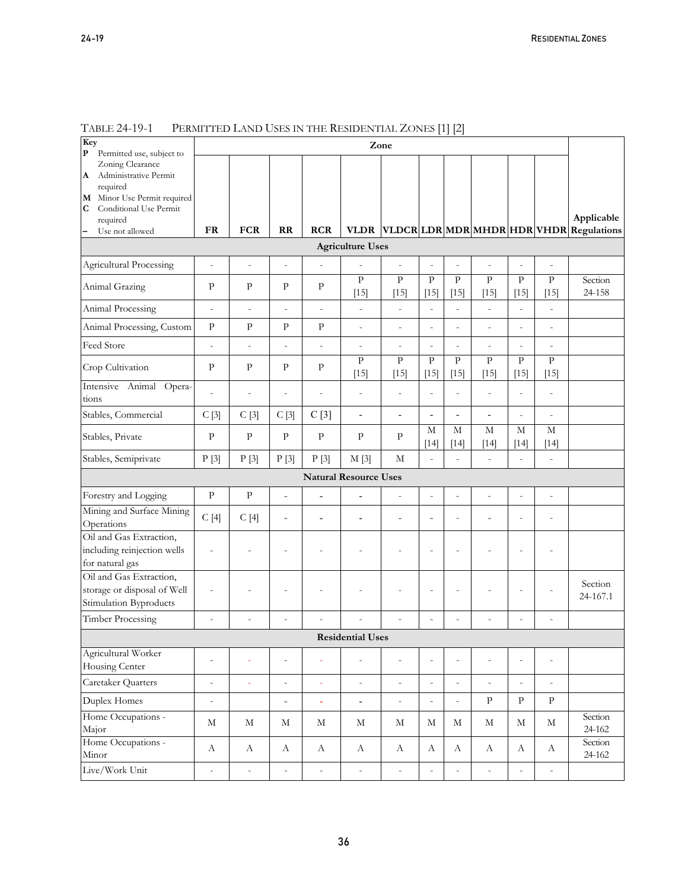| Key<br>P<br>Permitted use, subject to                                                                                                |                          |                          |                              |                  |                                        | Zone                     |                              |                          |                          |                        |                          |                                          |
|--------------------------------------------------------------------------------------------------------------------------------------|--------------------------|--------------------------|------------------------------|------------------|----------------------------------------|--------------------------|------------------------------|--------------------------|--------------------------|------------------------|--------------------------|------------------------------------------|
| Zoning Clearance<br>Administrative Permit<br>A<br>required<br>M Minor Use Permit required<br>Conditional Use Permit<br>C<br>required |                          |                          |                              |                  |                                        |                          |                              |                          |                          |                        |                          | Applicable                               |
| Use not allowed                                                                                                                      | <b>FR</b>                | <b>FCR</b>               | RR                           | <b>RCR</b>       | <b>VLDR</b><br><b>Agriculture Uses</b> |                          |                              |                          |                          |                        |                          | VLDCR LDR MDR MHDR HDR VHDR  Regulations |
| <b>Agricultural Processing</b>                                                                                                       | $\overline{a}$           | $\overline{a}$           | $\overline{a}$               | $\overline{a}$   |                                        |                          | $\overline{a}$               | $\overline{a}$           |                          | $\overline{a}$         |                          |                                          |
| Animal Grazing                                                                                                                       | $\mathbf{P}$             | $\mathbf{P}$             | $\mathbf{P}$                 | $\mathbf{P}$     | $\, {\bf p}$<br>$[15]$                 | $\mathbf{p}$<br>$[15]$   | $\rm{P}$<br>$[15]$           | $\mathbf{P}$<br>$[15]$   | $\rm{P}$<br>$[15]$       | $\mathbf{P}$<br>$[15]$ | $\mathbf{P}$<br>$[15]$   | Section<br>24-158                        |
| Animal Processing                                                                                                                    | $\overline{a}$           | $\overline{a}$           | $\overline{\phantom{m}}$     | $\overline{a}$   | $\frac{1}{2}$                          | $\overline{a}$           | $\overline{a}$               | $\overline{a}$           | $\overline{a}$           | $\overline{a}$         | $\overline{a}$           |                                          |
| Animal Processing, Custom                                                                                                            | P                        | $\mathbf{P}$             | $\mathbf{P}$                 | ${\bf p}$        | $\overline{\phantom{m}}$               | $\overline{a}$           | $\overline{a}$               | $\overline{a}$           | $\overline{a}$           | $\overline{a}$         | $\overline{\phantom{m}}$ |                                          |
| Feed Store                                                                                                                           | $\overline{a}$           | $\overline{a}$           | $\overline{a}$               | $\overline{a}$   | $\overline{a}$                         | $\overline{a}$           | $\overline{a}$               | $\overline{a}$           | $\overline{a}$           | $\overline{a}$         | L,                       |                                          |
| Crop Cultivation                                                                                                                     | $\mathbf{P}$             | $\mathbf{P}$             | $\mathbf{P}$                 | $\mathbf{P}$     | $\overline{P}$<br>$[15]$               | $\overline{P}$<br>$[15]$ | $\overline{P}$<br>$[15]$     | $\overline{P}$<br>$[15]$ | $\overline{P}$<br>$[15]$ | $\mathbf{P}$<br>$[15]$ | $\mathbf{P}$<br>$[15]$   |                                          |
| Intensive Animal Opera-<br>tions                                                                                                     | $\overline{a}$           | $\overline{\phantom{a}}$ | $\overline{a}$               | $\overline{a}$   | $\frac{1}{2}$                          | $\overline{a}$           | $\overline{a}$               | $\overline{a}$           | $\overline{a}$           | $\overline{a}$         | $\overline{a}$           |                                          |
| Stables, Commercial                                                                                                                  | C[3]                     | C[3]                     | C[3]                         | C[3]             | $\overline{\phantom{0}}$               | L,                       | $\qquad \qquad \blacksquare$ | $\overline{a}$           | $\overline{a}$           | $\overline{a}$         | $\overline{\phantom{a}}$ |                                          |
| Stables, Private                                                                                                                     | $\mathbf{P}$             | $\rm P$                  | $\mathbf{P}$                 | $\mathbf{P}$     | $\rm P$                                | $\mathbf{P}$             | M<br>$[14]$                  | $\mathbf M$<br>$[14]$    | M<br>$[14]$              | $\mathbf M$<br>$[14]$  | $\mathbf M$<br>$[14]$    |                                          |
| Stables, Semiprivate                                                                                                                 | P[3]                     | P[3]                     | P[3]                         | P[3]             | M[3]                                   | M                        | $\overline{a}$               | $\overline{a}$           | $\overline{a}$           | $\overline{a}$         | $\overline{\phantom{a}}$ |                                          |
|                                                                                                                                      |                          |                          |                              |                  | <b>Natural Resource Uses</b>           |                          |                              |                          |                          |                        |                          |                                          |
| Forestry and Logging                                                                                                                 | $\mathbf{P}$             | $\rm{P}$                 | $\overline{a}$               | L,               | Ĭ.                                     | $\overline{a}$           | $\overline{a}$               | $\overline{a}$           | L,                       | ÷                      | L,                       |                                          |
| Mining and Surface Mining<br>Operations                                                                                              | C[4]                     | C[4]                     | $\qquad \qquad \blacksquare$ | $\overline{a}$   | $\overline{\phantom{a}}$               | $\overline{a}$           | $\qquad \qquad -$            | $\overline{a}$           | $\overline{a}$           | $\overline{a}$         | $\overline{a}$           |                                          |
| Oil and Gas Extraction,<br>including reinjection wells<br>for natural gas                                                            | $\overline{a}$           | ÷                        | $\overline{a}$               |                  |                                        | $\overline{a}$           | $\overline{\phantom{0}}$     | $\overline{a}$           | Ĭ.                       | $\overline{a}$         | $\overline{a}$           |                                          |
| Oil and Gas Extraction,<br>storage or disposal of Well<br>Stimulation Byproducts                                                     | $\overline{a}$           |                          | $\overline{a}$               |                  |                                        | $\overline{a}$           | $\qquad \qquad \blacksquare$ | $\overline{a}$           | $\overline{a}$           | $\overline{a}$         | $\overline{a}$           | Section<br>24-167.1                      |
| <b>Timber Processing</b>                                                                                                             | $\overline{a}$           | ٠                        | $\overline{a}$               |                  |                                        | $\overline{a}$           | $\overline{a}$               |                          |                          | L,                     | $\overline{a}$           |                                          |
|                                                                                                                                      |                          |                          |                              |                  | <b>Residential Uses</b>                |                          |                              |                          |                          |                        |                          |                                          |
| Agricultural Worker<br>Housing Center                                                                                                | $\overline{\phantom{0}}$ | ÷                        | $\frac{1}{2}$                | $\blacksquare$   | $\bar{\phantom{a}}$                    | $\qquad \qquad -$        | $\frac{1}{2}$                | $\frac{1}{2}$            | $\overline{\phantom{0}}$ | $\overline{a}$         | $\overline{\phantom{a}}$ |                                          |
| Caretaker Quarters                                                                                                                   | $\overline{\phantom{0}}$ | ÷,                       | $\overline{\phantom{a}}$     | L,               | $\overline{\phantom{0}}$               | $\frac{1}{2}$            | $\overline{\phantom{0}}$     | $\frac{1}{2}$            | $\overline{a}$           | $\overline{a}$         | $\overline{\phantom{a}}$ |                                          |
| Duplex Homes                                                                                                                         | $\frac{1}{2}$            |                          | $\overline{\phantom{0}}$     | ä,               | $\overline{\phantom{a}}$               | $\overline{\phantom{a}}$ | $\overline{\phantom{a}}$     | $\overline{\phantom{0}}$ | $\rm P$                  | $\rm P$                | $\rm P$                  |                                          |
| Home Occupations -<br>Major                                                                                                          | $\mathbf M$              | $\mathbf M$              | М                            | $\mathbf M$      | $\mathbf M$                            | $_{\rm M}$               | M                            | М                        | $\mathbf M$              | $\mathbf M$            | М                        | Section<br>24-162                        |
| Home Occupations -<br>Minor                                                                                                          | $\bf{A}$                 | $\boldsymbol{A}$         | $\boldsymbol{A}$             | $\boldsymbol{A}$ | $\boldsymbol{A}$                       | $\mathbf{A}$             | $\boldsymbol{A}$             | А                        | $\boldsymbol{A}$         | $\boldsymbol{A}$       | А                        | Section<br>24-162                        |
| Live/Work Unit                                                                                                                       | $\overline{\phantom{a}}$ | $\frac{1}{2}$            | $\bar{\phantom{a}}$          | $\frac{1}{2}$    | $\overline{\phantom{a}}$               | $\overline{\phantom{a}}$ | $\frac{1}{2}$                | $\overline{\phantom{0}}$ | $\bar{\phantom{a}}$      | $\overline{a}$         | $\overline{a}$           |                                          |

TABLE 24-19-1 PERMITTED LAND USES IN THE RESIDENTIAL ZONES [1] [2]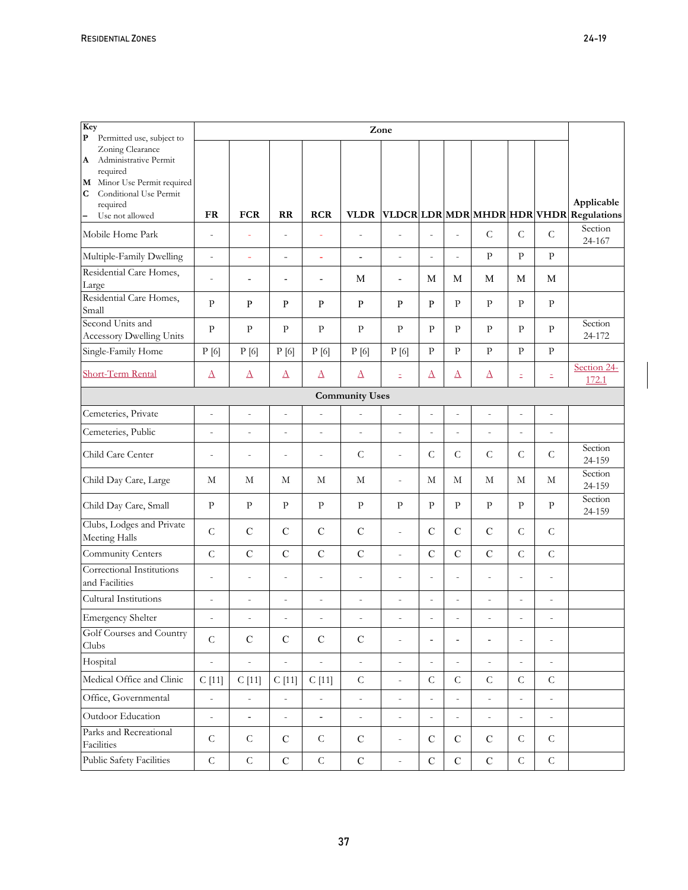| Key<br>$\mathbf{P}$<br>Permitted use, subject to                                                                      |                          |                          |                          |                          |                          | Zone                     |                          |                          |                          |                          |                          |                                                  |
|-----------------------------------------------------------------------------------------------------------------------|--------------------------|--------------------------|--------------------------|--------------------------|--------------------------|--------------------------|--------------------------|--------------------------|--------------------------|--------------------------|--------------------------|--------------------------------------------------|
| Zoning Clearance<br>A Administrative Permit<br>required<br>M Minor Use Permit required<br>С<br>Conditional Use Permit |                          |                          |                          |                          |                          |                          |                          |                          |                          |                          |                          |                                                  |
| required<br>Use not allowed<br>$\overline{\phantom{0}}$                                                               | <b>FR</b>                | <b>FCR</b>               | RR                       | <b>RCR</b>               | <b>VLDR</b>              |                          |                          |                          |                          |                          |                          | Applicable<br>VLDCRLDRMDRMHDRHDRVHDR Regulations |
| Mobile Home Park                                                                                                      | $\frac{1}{2}$            | L,                       | $\overline{a}$           | ÷,                       | $\overline{a}$           | $\overline{a}$           | $\overline{a}$           | $\overline{a}$           | $\mathsf C$              | $\overline{C}$           | $\mathsf C$              | Section<br>24-167                                |
| Multiple-Family Dwelling                                                                                              | $\overline{a}$           | $\equiv$                 | $\overline{a}$           | ÷,                       | $\overline{a}$           | $\overline{a}$           | $\overline{a}$           | $\overline{a}$           | $\mathbf{p}$             | $\mathbf{P}$             | $\mathbf{P}$             |                                                  |
| Residential Care Homes,<br>Large                                                                                      | $\overline{a}$           | $\overline{\phantom{0}}$ | $\overline{\phantom{a}}$ | $\overline{\phantom{a}}$ | M                        | $\overline{a}$           | M                        | M                        | $\mathbf M$              | $\mathbf M$              | M                        |                                                  |
| Residential Care Homes,<br>Small                                                                                      | $\mathbf{p}$             | $\mathbf{P}$             | P                        | ${\bf P}$                | $\mathbf{P}$             | ${\bf P}$                | $\mathbf{P}$             | $\mathbf{p}$             | $\mathbf{p}$             | $\mathbf{P}$             | $\mathbf{P}$             |                                                  |
| Second Units and<br><b>Accessory Dwelling Units</b>                                                                   | $\mathbf{P}$             | $\mathbf{p}$             | $\mathbf{P}$             | $\mathbf{P}$             | $\mathbf{P}$             | $\mathbf{P}$             | $\mathbf{P}$             | $\mathbf{p}$             | $\mathbf{P}$             | $\mathbf{P}$             | $\mathbf{P}$             | Section<br>24-172                                |
| Single-Family Home                                                                                                    | P[6]                     | P[6]                     | P[6]                     | P[6]                     | P[6]                     | P[6]                     | $\mathbf{P}$             | $\mathbf{P}$             | $\mathbf{P}$             | $\mathbf{P}$             | $\mathbf{P}$             |                                                  |
| <b>Short-Term Rental</b>                                                                                              | $\Delta$                 | $\Delta$                 | $\Delta$                 | $\Delta$                 | $\Delta$                 | Ξ                        | $\Delta$                 | $\Delta$                 | $\Delta$                 | Ξ                        | Ξ                        | Section 24-<br>172.1                             |
| <b>Community Uses</b>                                                                                                 |                          |                          |                          |                          |                          |                          |                          |                          |                          |                          |                          |                                                  |
| Cemeteries, Private                                                                                                   | $\overline{\phantom{a}}$ | $\overline{\phantom{a}}$ | $\overline{a}$           | $\centerdot$             | $\overline{\phantom{a}}$ | $\frac{1}{2}$            | $\frac{1}{2}$            | $\centerdot$             | $\bar{\phantom{a}}$      | $\overline{\phantom{a}}$ | $\bar{\phantom{a}}$      |                                                  |
| Cemeteries, Public                                                                                                    | $\overline{a}$           | $\overline{\phantom{a}}$ | $\overline{a}$           | $\overline{a}$           | $\overline{\phantom{a}}$ | $\overline{a}$           | $\overline{a}$           | $\frac{1}{2}$            | $\overline{a}$           | $\overline{a}$           | $\overline{a}$           |                                                  |
| Child Care Center                                                                                                     | $\frac{1}{2}$            | $\overline{\phantom{a}}$ | $\overline{\phantom{a}}$ | $\overline{\phantom{a}}$ | $\mathcal{C}$            | $\overline{\phantom{m}}$ | $\mathcal{C}$            | $\mathsf{C}$             | $\mathcal{C}$            | $\mathsf C$              | $\mathsf{C}$             | Section<br>24-159                                |
| Child Day Care, Large                                                                                                 | М                        | М                        | М                        | М                        | М                        | $\overline{a}$           | М                        | М                        | М                        | М                        | М                        | Section<br>24-159                                |
| Child Day Care, Small                                                                                                 | $\mathbf{p}$             | $\mathbf{P}$             | $\mathbf{P}$             | $\mathbf{P}$             | $\mathbf{P}$             | $\mathbf{P}$             | $\mathbf{P}$             | $\mathbf{p}$             | $\mathbf{P}$             | $\mathbf{P}$             | $\mathbf{P}$             | Section<br>24-159                                |
| Clubs, Lodges and Private<br>Meeting Halls                                                                            | $\mathcal{C}$            | $\mathbf C$              | $\mathbf C$              | $\mathbf C$              | $\mathbf C$              | $\overline{a}$           | $\mathcal{C}$            | $\mathbf C$              | $\mathbf C$              | $\mathsf C$              | $\mathcal{C}$            |                                                  |
| Community Centers                                                                                                     | $\overline{C}$           | $\mathbf C$              | $\mathbf C$              | $\mathbf C$              | $\mathbf C$              | $\overline{a}$           | $\mathbf C$              | $\mathbf C$              | $\mathbf C$              | $\overline{C}$           | $\overline{C}$           |                                                  |
| Correctional Institutions<br>and Facilities                                                                           | $\overline{a}$           | $\overline{a}$           | $\overline{a}$           | $\overline{\phantom{m}}$ | $\overline{a}$           | $\overline{a}$           | $\overline{\phantom{m}}$ | $\frac{1}{2}$            | $\overline{a}$           | $\overline{a}$           | $\bar{ }$                |                                                  |
| Cultural Institutions                                                                                                 | $\overline{a}$           | $\overline{a}$           | $\overline{a}$           | $\overline{a}$           | $\overline{a}$           | $\overline{a}$           | $\overline{a}$           | $\overline{a}$           | $\overline{a}$           | $\overline{\phantom{a}}$ | $\overline{a}$           |                                                  |
| <b>Emergency Shelter</b>                                                                                              |                          | $\overline{a}$           | $\overline{a}$           | $\overline{a}$           | $\overline{a}$           | ÷,                       | $\overline{a}$           | $\overline{a}$           |                          | $\overline{a}$           |                          |                                                  |
| Golf Courses and Country<br>Clubs                                                                                     | $\mathsf C$              | $\mathbf C$              | $\mathbf C$              | $\mathsf{C}$             | ${\bf C}$                | $\overline{a}$           | $\overline{\phantom{a}}$ | $\overline{\phantom{a}}$ | $\overline{\phantom{a}}$ | $\overline{a}$           | $\overline{a}$           |                                                  |
| Hospital                                                                                                              | $\overline{\phantom{a}}$ | $\overline{a}$           | $\overline{a}$           | $\overline{a}$           | $\overline{\phantom{a}}$ | $\overline{\phantom{m}}$ | $\overline{\phantom{a}}$ | $\overline{\phantom{a}}$ | $\overline{\phantom{a}}$ | $\frac{1}{2}$            | $\overline{\phantom{a}}$ |                                                  |
| Medical Office and Clinic                                                                                             | C[11]                    | C[11]                    | C[11]                    | C[11]                    | $\mathsf{C}$             | $\overline{a}$           | $\mathsf C$              | $\mathsf{C}$             | $\mathsf C$              | $\mathsf{C}$             | $\mathsf C$              |                                                  |
| Office, Governmental                                                                                                  | $\overline{\phantom{a}}$ | $\bar{\phantom{a}}$      | $\overline{\phantom{a}}$ | $\bar{\phantom{a}}$      | $\overline{\phantom{a}}$ | $\overline{a}$           | $\frac{1}{2}$            | $\overline{\phantom{a}}$ | $\overline{\phantom{0}}$ | $\bar{\phantom{a}}$      | $\bar{\phantom{a}}$      |                                                  |
| Outdoor Education                                                                                                     | $\overline{a}$           | $\overline{\phantom{a}}$ | $\frac{1}{2}$            | $\overline{\phantom{a}}$ | $\overline{\phantom{a}}$ | $\overline{a}$           | $\overline{\phantom{a}}$ | $\frac{1}{2}$            | $\overline{\phantom{0}}$ | $\overline{\phantom{a}}$ | $\overline{\phantom{0}}$ |                                                  |
| Parks and Recreational<br>Facilities                                                                                  | $\mathsf{C}$             | $\mathsf{C}$             | $\mathcal{C}$            | $\mathcal{C}$            | $\mathbf C$              | $\overline{a}$           | $\mathbf C$              | $\mathcal{C}$            | $\mathbf C$              | $\mathsf{C}$             | $\mathsf{C}$             |                                                  |
| Public Safety Facilities                                                                                              | $\mathsf C$              | $\mathsf C$              | ${\bf C}$                | $\mathsf C$              | ${\bf C}$                |                          | $\mathbf C$              | ${\bf C}$                | $\mathbf C$              | $\mathsf C$              | $\mathsf C$              |                                                  |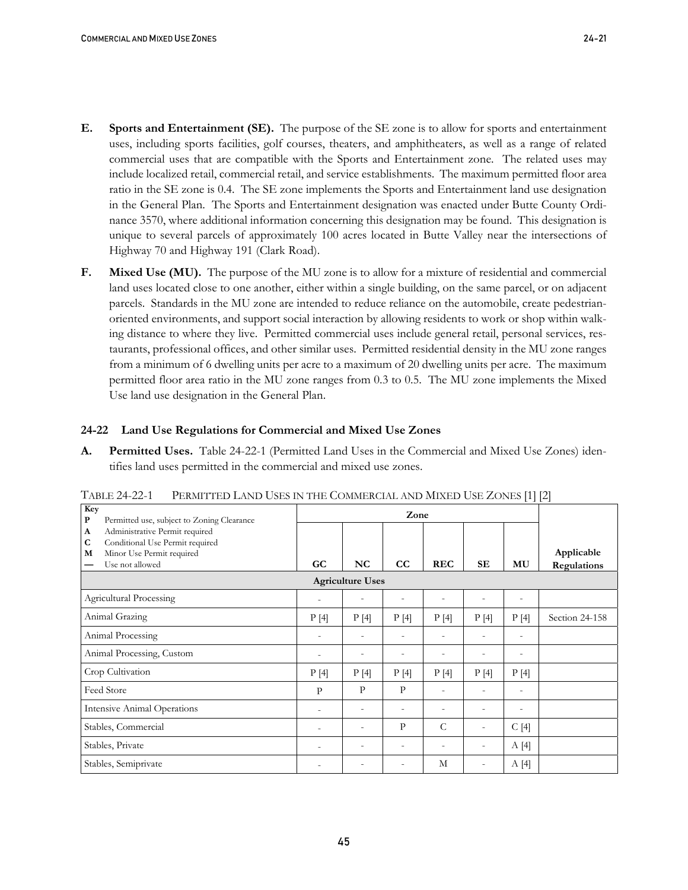- **E. Sports and Entertainment (SE).** The purpose of the SE zone is to allow for sports and entertainment uses, including sports facilities, golf courses, theaters, and amphitheaters, as well as a range of related commercial uses that are compatible with the Sports and Entertainment zone. The related uses may include localized retail, commercial retail, and service establishments. The maximum permitted floor area ratio in the SE zone is 0.4. The SE zone implements the Sports and Entertainment land use designation in the General Plan. The Sports and Entertainment designation was enacted under Butte County Ordinance 3570, where additional information concerning this designation may be found. This designation is unique to several parcels of approximately 100 acres located in Butte Valley near the intersections of Highway 70 and Highway 191 (Clark Road).
- **F. Mixed Use (MU).** The purpose of the MU zone is to allow for a mixture of residential and commercial land uses located close to one another, either within a single building, on the same parcel, or on adjacent parcels. Standards in the MU zone are intended to reduce reliance on the automobile, create pedestrianoriented environments, and support social interaction by allowing residents to work or shop within walking distance to where they live.Permitted commercial uses include general retail, personal services, restaurants, professional offices, and other similar uses. Permitted residential density in the MU zone ranges from a minimum of 6 dwelling units per acre to a maximum of 20 dwelling units per acre. The maximum permitted floor area ratio in the MU zone ranges from 0.3 to 0.5. The MU zone implements the Mixed Use land use designation in the General Plan.

# **24-22 Land Use Regulations for Commercial and Mixed Use Zones**

**A. Permitted Uses.** Table 24-22-1 (Permitted Land Uses in the Commercial and Mixed Use Zones) identifies land uses permitted in the commercial and mixed use zones.

| Key<br>P<br>Permitted use, subject to Zoning Clearance                                                                                                |                          |                          | Zone                     |                          |                          |                          |                           |  |  |
|-------------------------------------------------------------------------------------------------------------------------------------------------------|--------------------------|--------------------------|--------------------------|--------------------------|--------------------------|--------------------------|---------------------------|--|--|
| Administrative Permit required<br>$\mathbf{A}$<br>$\mathbf C$<br>Conditional Use Permit required<br>Minor Use Permit required<br>M<br>Use not allowed | GC                       | NC                       | CC                       | <b>REC</b>               | <b>SE</b>                | MU                       | Applicable<br>Regulations |  |  |
| <b>Agriculture Uses</b>                                                                                                                               |                          |                          |                          |                          |                          |                          |                           |  |  |
| <b>Agricultural Processing</b>                                                                                                                        | $\overline{a}$           |                          | $\overline{a}$           | $\overline{\phantom{a}}$ | $\overline{\phantom{a}}$ | $\overline{\phantom{a}}$ |                           |  |  |
| Animal Grazing                                                                                                                                        | P[4]                     | P[4]                     | P[4]                     | P[4]                     | P[4]                     | P[4]                     | Section 24-158            |  |  |
| Animal Processing                                                                                                                                     | $\overline{a}$           | $\overline{\phantom{a}}$ | $\overline{a}$           | $\overline{\phantom{a}}$ | $\overline{\phantom{0}}$ | $\overline{\phantom{0}}$ |                           |  |  |
| Animal Processing, Custom                                                                                                                             | $\overline{\phantom{a}}$ | $\overline{\phantom{a}}$ | $\overline{a}$           | $\overline{\phantom{a}}$ | $\overline{\phantom{0}}$ | $\overline{\phantom{a}}$ |                           |  |  |
| Crop Cultivation                                                                                                                                      | P[4]                     | P[4]                     | P[4]                     | P[4]                     | P[4]                     | P[4]                     |                           |  |  |
| Feed Store                                                                                                                                            | $\mathbf{p}$             | P                        | P                        | $\overline{a}$           |                          | $\overline{\phantom{a}}$ |                           |  |  |
| <b>Intensive Animal Operations</b>                                                                                                                    | $\overline{\phantom{a}}$ |                          |                          | $\overline{\phantom{0}}$ |                          |                          |                           |  |  |
| Stables, Commercial                                                                                                                                   | $\overline{\phantom{a}}$ |                          | P                        | C                        |                          | C[4]                     |                           |  |  |
| Stables, Private                                                                                                                                      | $\overline{a}$           | $\overline{\phantom{a}}$ | $\overline{\phantom{a}}$ | $\overline{\phantom{a}}$ | $\overline{\phantom{a}}$ | A[4]                     |                           |  |  |
| Stables, Semiprivate                                                                                                                                  | $\overline{\phantom{a}}$ | $\overline{\phantom{0}}$ | ۰                        | M                        | $\overline{\phantom{a}}$ | A[4]                     |                           |  |  |

TABLE 24-22-1 PERMITTED LAND USES IN THE COMMERCIAL AND MIXED USE ZONES [1] [2]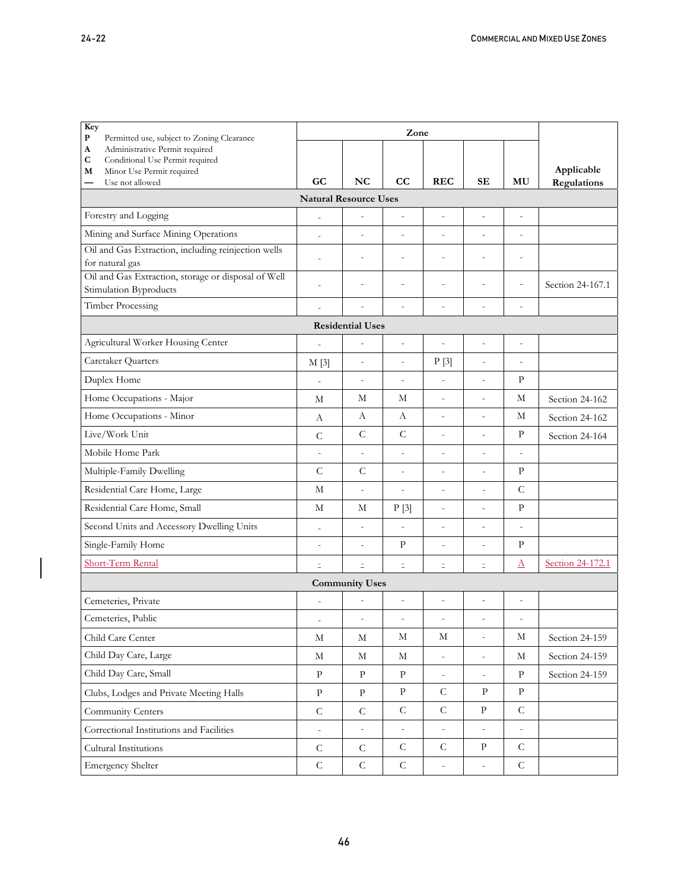| Key<br>${\bf P}$<br>Permitted use, subject to Zoning Clearance         |                          | Zone                     |                          |                          |                          |                |                  |  |  |  |  |
|------------------------------------------------------------------------|--------------------------|--------------------------|--------------------------|--------------------------|--------------------------|----------------|------------------|--|--|--|--|
| Administrative Permit required<br>A                                    |                          |                          |                          |                          |                          |                |                  |  |  |  |  |
| C<br>Conditional Use Permit required<br>Minor Use Permit required<br>M |                          |                          |                          |                          |                          |                | Applicable       |  |  |  |  |
| Use not allowed<br>—                                                   | GC                       | NC                       | $_{\rm CC}$              | <b>REC</b>               | SЕ                       | MU             | Regulations      |  |  |  |  |
| <b>Natural Resource Uses</b>                                           |                          |                          |                          |                          |                          |                |                  |  |  |  |  |
| Forestry and Logging                                                   | $\overline{a}$           | L,                       | $\overline{a}$           | $\overline{a}$           | $\overline{a}$           | $\overline{a}$ |                  |  |  |  |  |
| Mining and Surface Mining Operations                                   | $\overline{a}$           | $\overline{a}$           | $\overline{a}$           | $\overline{a}$           | $\overline{a}$           | $\overline{a}$ |                  |  |  |  |  |
| Oil and Gas Extraction, including reinjection wells                    | $\overline{a}$           | $\overline{a}$           | $\overline{a}$           | $\overline{a}$           | $\overline{a}$           | $\overline{a}$ |                  |  |  |  |  |
| for natural gas<br>Oil and Gas Extraction, storage or disposal of Well |                          |                          |                          |                          |                          |                |                  |  |  |  |  |
| Stimulation Byproducts                                                 | $\overline{a}$           | L,                       | $\overline{a}$           | $\overline{a}$           | $\overline{a}$           | $\overline{a}$ | Section 24-167.1 |  |  |  |  |
| <b>Timber Processing</b>                                               | $\overline{a}$           | $\overline{a}$           | $\overline{\phantom{m}}$ | $\overline{a}$           | $\overline{a}$           | $\overline{a}$ |                  |  |  |  |  |
|                                                                        |                          | <b>Residential Uses</b>  |                          |                          |                          |                |                  |  |  |  |  |
| Agricultural Worker Housing Center                                     |                          | $\overline{a}$           | $\overline{\phantom{a}}$ | $\overline{a}$           | $\overline{a}$           | $\overline{a}$ |                  |  |  |  |  |
| Caretaker Quarters                                                     | M[3]                     | $\qquad \qquad -$        | $\overline{\phantom{a}}$ | P[3]                     | $\frac{1}{2}$            | $\overline{a}$ |                  |  |  |  |  |
| Duplex Home                                                            | $\overline{a}$           | $\overline{a}$           | $\overline{a}$           | $\overline{a}$           | $\overline{a}$           | P              |                  |  |  |  |  |
| Home Occupations - Major                                               | М                        | М                        | М                        | $\overline{a}$           | $\overline{a}$           | М              | Section 24-162   |  |  |  |  |
| Home Occupations - Minor                                               | А                        | А                        | А                        | $\overline{a}$           | $\overline{a}$           | М              | Section 24-162   |  |  |  |  |
| Live/Work Unit                                                         | $\overline{C}$           | $\mathsf{C}$             | $\mathsf C$              | $\overline{a}$           | $\overline{a}$           | P              | Section 24-164   |  |  |  |  |
| Mobile Home Park                                                       | $\overline{a}$           | $\overline{a}$           | $\overline{a}$           | $\overline{a}$           | $\overline{a}$           | $\overline{a}$ |                  |  |  |  |  |
| Multiple-Family Dwelling                                               | $\overline{C}$           | $\mathsf{C}$             | $\overline{\phantom{a}}$ | $\overline{a}$           | $\overline{\phantom{m}}$ | P              |                  |  |  |  |  |
| Residential Care Home, Large                                           | М                        | $\frac{1}{2}$            | $\overline{\phantom{a}}$ | $\overline{a}$           | $\frac{1}{2}$            | $\mathsf{C}$   |                  |  |  |  |  |
| Residential Care Home, Small                                           | М                        | М                        | P[3]                     | $\overline{\phantom{0}}$ | $\overline{a}$           | P              |                  |  |  |  |  |
| Second Units and Accessory Dwelling Units                              | $\overline{a}$           | $\overline{a}$           | $\overline{a}$           | $\overline{a}$           | $\overline{a}$           | $\overline{a}$ |                  |  |  |  |  |
| Single-Family Home                                                     | $\overline{\phantom{m}}$ | $\overline{\phantom{0}}$ | $\rm P$                  | $\overline{\phantom{0}}$ | $\overline{\phantom{m}}$ | $\mathbf{P}$   |                  |  |  |  |  |
| <b>Short-Term Rental</b>                                               | Ξ                        | Ξ                        | Ξ                        | Ξ                        | Ξ                        | Δ              | Section 24-172.1 |  |  |  |  |
|                                                                        |                          | <b>Community Uses</b>    |                          |                          |                          |                |                  |  |  |  |  |
| Cemeteries, Private                                                    |                          |                          | $\overline{a}$           | $\overline{a}$           | $\overline{a}$           | $\overline{a}$ |                  |  |  |  |  |
| Cemeteries, Public                                                     |                          | L,                       |                          |                          |                          | $\overline{a}$ |                  |  |  |  |  |
| Child Care Center                                                      | $\mathbf M$              | $\mathbf M$              | М                        | М                        | $\bar{a}$                | М              | Section 24-159   |  |  |  |  |
| Child Day Care, Large                                                  | M                        | М                        | М                        | $\bar{\phantom{a}}$      | $\blacksquare$           | М              | Section 24-159   |  |  |  |  |
| Child Day Care, Small                                                  | ${\bf p}$                | ${\bf p}$                | $\, {\bf p}$             | $\overline{\phantom{m}}$ | $\overline{\phantom{0}}$ | $\mathbf{p}$   | Section 24-159   |  |  |  |  |
| Clubs, Lodges and Private Meeting Halls                                | $\rm{P}$                 | $\, {\bf p}$             | $\rm{P}$                 | ${\cal C}$               | $\rm{P}$                 | $\rm P$        |                  |  |  |  |  |
| Community Centers                                                      | $\mathsf C$              | ${\cal C}$               | ${\cal C}$               | ${\cal C}$               | $\mathbf{P}$             | ${\cal C}$     |                  |  |  |  |  |
| Correctional Institutions and Facilities                               | $\overline{\phantom{a}}$ | $\overline{\phantom{0}}$ | $\overline{\phantom{a}}$ | $\overline{a}$           | $\overline{\phantom{a}}$ | $\overline{a}$ |                  |  |  |  |  |
| Cultural Institutions                                                  | $\mathsf C$              | ${\cal C}$               | ${\cal C}$               | $\mathsf{C}$             | ${\bf p}$                | $\mathsf{C}$   |                  |  |  |  |  |
| <b>Emergency Shelter</b>                                               | $\mathsf C$              | ${\cal C}$               | $\mathsf C$              | $\equiv$                 | $\bar{\phantom{a}}$      | ${\cal C}$     |                  |  |  |  |  |

 $\overline{1}$  $\overline{\phantom{a}}$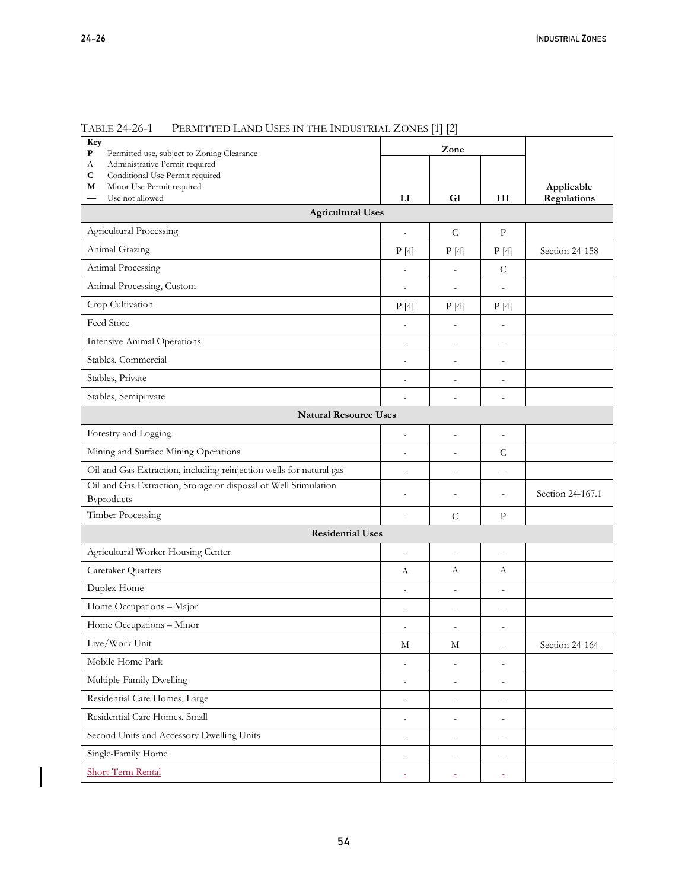$\overline{\phantom{a}}$ 

| Key<br>${\bf P}$<br>Permitted use, subject to Zoning Clearance                |                          | Zone                     |                          |                  |  |  |  |  |
|-------------------------------------------------------------------------------|--------------------------|--------------------------|--------------------------|------------------|--|--|--|--|
| Administrative Permit required<br>А                                           |                          |                          |                          |                  |  |  |  |  |
| С<br>Conditional Use Permit required<br>Minor Use Permit required<br>М        |                          |                          |                          | Applicable       |  |  |  |  |
| Use not allowed                                                               | $_{\rm LI}$              | GI                       | HI                       | Regulations      |  |  |  |  |
| <b>Agricultural Uses</b>                                                      |                          |                          |                          |                  |  |  |  |  |
| <b>Agricultural Processing</b>                                                | $\overline{a}$           | $\mathsf{C}$             | P                        |                  |  |  |  |  |
| Animal Grazing                                                                | P[4]                     | P[4]                     | P[4]                     | Section 24-158   |  |  |  |  |
| Animal Processing                                                             |                          | $\qquad \qquad -$        | $\mathsf{C}$             |                  |  |  |  |  |
| Animal Processing, Custom                                                     | $\qquad \qquad -$        | $\frac{1}{2}$            | $\overline{\phantom{0}}$ |                  |  |  |  |  |
| Crop Cultivation                                                              | P[4]                     | P[4]                     | P[4]                     |                  |  |  |  |  |
| Feed Store                                                                    | $\overline{a}$           | $\overline{\phantom{0}}$ | $\overline{\phantom{0}}$ |                  |  |  |  |  |
| <b>Intensive Animal Operations</b>                                            | $\overline{a}$           | $\overline{a}$           | $\overline{a}$           |                  |  |  |  |  |
| Stables, Commercial                                                           | $\overline{\phantom{0}}$ | $\overline{\phantom{m}}$ | $\overline{a}$           |                  |  |  |  |  |
| Stables, Private                                                              | $\overline{a}$           | $\overline{a}$           | $\overline{a}$           |                  |  |  |  |  |
| Stables, Semiprivate                                                          |                          | $\overline{a}$           | $\overline{a}$           |                  |  |  |  |  |
| <b>Natural Resource Uses</b>                                                  |                          |                          |                          |                  |  |  |  |  |
| Forestry and Logging                                                          | $\overline{a}$           | $\overline{a}$           | $\overline{a}$           |                  |  |  |  |  |
| Mining and Surface Mining Operations                                          | $\overline{a}$           | $\overline{\phantom{m}}$ | $\mathcal{C}$            |                  |  |  |  |  |
| Oil and Gas Extraction, including reinjection wells for natural gas           | $\overline{a}$           | $\overline{a}$           | $\overline{\phantom{0}}$ |                  |  |  |  |  |
| Oil and Gas Extraction, Storage or disposal of Well Stimulation<br>Byproducts | $\overline{a}$           | $\overline{a}$           | $\overline{a}$           | Section 24-167.1 |  |  |  |  |
| Timber Processing                                                             | $\overline{a}$           | $\mathcal{C}$            | P                        |                  |  |  |  |  |
| <b>Residential Uses</b>                                                       |                          |                          |                          |                  |  |  |  |  |
| Agricultural Worker Housing Center                                            | $\overline{a}$           | $\overline{a}$           | $\overline{\phantom{0}}$ |                  |  |  |  |  |
| Caretaker Quarters                                                            | А                        | А                        | А                        |                  |  |  |  |  |
| Duplex Home                                                                   | $\overline{a}$           | $\overline{a}$           | $\overline{a}$           |                  |  |  |  |  |
| Home Occupations - Major                                                      |                          | $\overline{a}$           | $\overline{a}$           |                  |  |  |  |  |
| Home Occupations - Minor                                                      | $\overline{a}$           | $\overline{a}$           | $\overline{a}$           |                  |  |  |  |  |
| Live/Work Unit                                                                | М                        | М                        | $\overline{\phantom{0}}$ | Section 24-164   |  |  |  |  |
| Mobile Home Park                                                              | $\overline{\phantom{m}}$ | $\overline{\phantom{m}}$ | $\overline{a}$           |                  |  |  |  |  |
| Multiple-Family Dwelling                                                      | $\frac{1}{2}$            | $\overline{\phantom{a}}$ | $\overline{\phantom{0}}$ |                  |  |  |  |  |
| Residential Care Homes, Large                                                 | $\qquad \qquad -$        | $\overline{\phantom{m}}$ | $\overline{a}$           |                  |  |  |  |  |
| Residential Care Homes, Small                                                 | $\overline{\phantom{a}}$ | $\qquad \qquad -$        | $\overline{\phantom{0}}$ |                  |  |  |  |  |
| Second Units and Accessory Dwelling Units                                     | $\frac{1}{2}$            | $\overline{\phantom{a}}$ | $\frac{1}{2}$            |                  |  |  |  |  |
| Single-Family Home                                                            | $\overline{\phantom{m}}$ | $\qquad \qquad -$        | $\frac{1}{2}$            |                  |  |  |  |  |
| Short-Term Rental                                                             | Ξ.                       | Ξ                        | z,                       |                  |  |  |  |  |

# TABLE 24-26-1 PERMITTED LAND USES IN THE INDUSTRIAL ZONES [1] [2]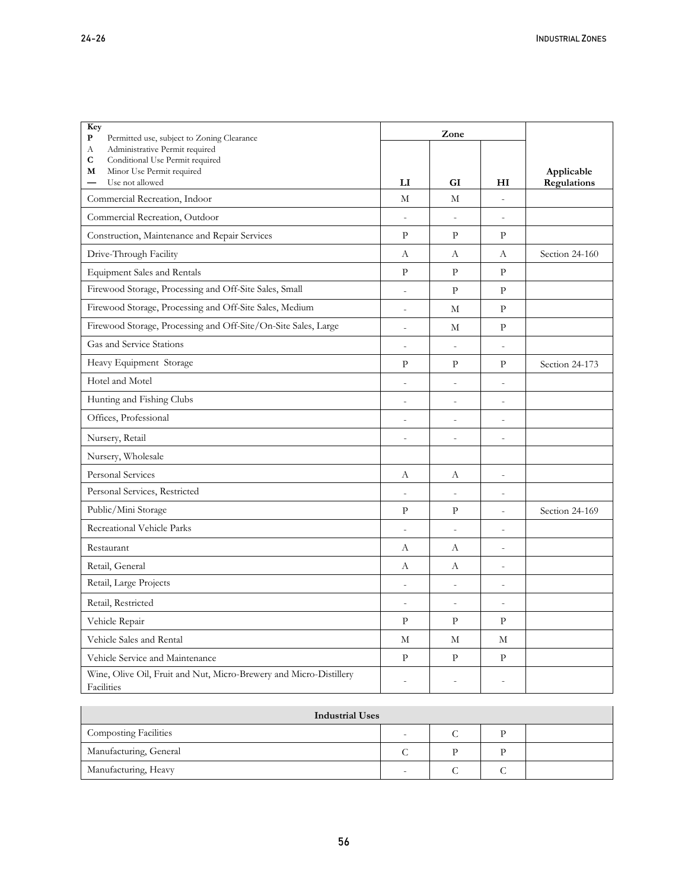| Key<br>P<br>Permitted use, subject to Zoning Clearance                           |                        | Zone                     |                          |                |
|----------------------------------------------------------------------------------|------------------------|--------------------------|--------------------------|----------------|
| Administrative Permit required<br>А                                              |                        |                          |                          |                |
| C<br>Conditional Use Permit required<br>Minor Use Permit required<br>М           |                        |                          |                          | Applicable     |
| Use not allowed                                                                  | $\mathbf{L}\mathbf{I}$ | GI                       | H <sub>I</sub>           | Regulations    |
| Commercial Recreation, Indoor                                                    | M                      | M                        | $\overline{a}$           |                |
| Commercial Recreation, Outdoor                                                   | $\centerdot$           | $\overline{\phantom{a}}$ | $\overline{\phantom{a}}$ |                |
| Construction, Maintenance and Repair Services                                    | $\mathbf{P}$           | $\mathbf{P}$             | $\mathbf{P}$             |                |
| Drive-Through Facility                                                           | A                      | А                        | А                        | Section 24-160 |
| <b>Equipment Sales and Rentals</b>                                               | $\mathbf{P}$           | $\mathbf{P}$             | $\mathbf{P}$             |                |
| Firewood Storage, Processing and Off-Site Sales, Small                           | $\overline{a}$         | $\mathbf{p}$             | $\mathbf{P}$             |                |
| Firewood Storage, Processing and Off-Site Sales, Medium                          | $\overline{a}$         | М                        | $\mathbf{P}$             |                |
| Firewood Storage, Processing and Off-Site/On-Site Sales, Large                   | $\overline{a}$         | M                        | $\mathbf{P}$             |                |
| Gas and Service Stations                                                         | $\overline{a}$         | $\overline{a}$           | $\overline{a}$           |                |
| Heavy Equipment Storage                                                          | $\mathbf{P}$           | $\mathbf{P}$             | $\mathbf{P}$             | Section 24-173 |
| Hotel and Motel                                                                  |                        | $\overline{a}$           | $\overline{a}$           |                |
| Hunting and Fishing Clubs                                                        | $\overline{a}$         | $\overline{a}$           | $\overline{a}$           |                |
| Offices, Professional                                                            | $\overline{a}$         | $\overline{a}$           | $\overline{\phantom{a}}$ |                |
| Nursery, Retail                                                                  | $\overline{a}$         | $\overline{a}$           | $\overline{a}$           |                |
| Nursery, Wholesale                                                               |                        |                          |                          |                |
| Personal Services                                                                | А                      | А                        | $\overline{a}$           |                |
| Personal Services, Restricted                                                    |                        | $\overline{a}$           | $\overline{a}$           |                |
| Public/Mini Storage                                                              | $\mathbf{P}$           | $\mathbf{P}$             | $\overline{\phantom{a}}$ | Section 24-169 |
| Recreational Vehicle Parks                                                       |                        |                          | $\overline{a}$           |                |
| Restaurant                                                                       | А                      | А                        | $\overline{a}$           |                |
| Retail, General                                                                  | A                      | A                        | $\overline{a}$           |                |
| Retail, Large Projects                                                           | $\overline{a}$         | $\overline{a}$           | $\overline{a}$           |                |
| Retail, Restricted                                                               | $\overline{a}$         | $\overline{\phantom{a}}$ | $\overline{\phantom{a}}$ |                |
| Vehicle Repair                                                                   | $\mathbf{p}$           | $\mathbf{P}$             | $\mathbf{p}$             |                |
| Vehicle Sales and Rental                                                         | М                      | М                        | М                        |                |
| Vehicle Service and Maintenance                                                  | $\mathbf{P}$           | $\mathbf{P}$             | $\mathbf{P}$             |                |
| Wine, Olive Oil, Fruit and Nut, Micro-Brewery and Micro-Distillery<br>Facilities | $\overline{a}$         | $\overline{\phantom{a}}$ | $\overline{a}$           |                |

| <b>Industrial Uses</b>       |                          |  |  |  |  |  |
|------------------------------|--------------------------|--|--|--|--|--|
| <b>Composting Facilities</b> | $\overline{\phantom{a}}$ |  |  |  |  |  |
| Manufacturing, General       |                          |  |  |  |  |  |
| Manufacturing, Heavy         |                          |  |  |  |  |  |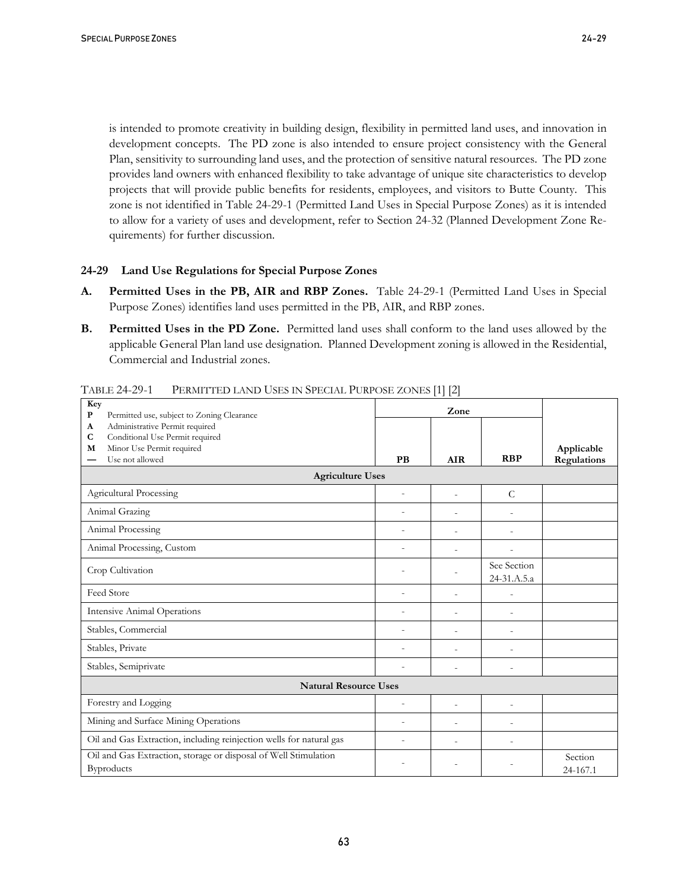is intended to promote creativity in building design, flexibility in permitted land uses, and innovation in development concepts. The PD zone is also intended to ensure project consistency with the General Plan, sensitivity to surrounding land uses, and the protection of sensitive natural resources. The PD zone provides land owners with enhanced flexibility to take advantage of unique site characteristics to develop projects that will provide public benefits for residents, employees, and visitors to Butte County.This zone is not identified in Table 24-29-1 (Permitted Land Uses in Special Purpose Zones) as it is intended to allow for a variety of uses and development, refer to Section 24-32 (Planned Development Zone Requirements) for further discussion.

#### **24-29 Land Use Regulations for Special Purpose Zones**

- **A. Permitted Uses in the PB, AIR and RBP Zones.** Table 24-29-1 (Permitted Land Uses in Special Purpose Zones) identifies land uses permitted in the PB, AIR, and RBP zones.
- **B. Permitted Uses in the PD Zone.** Permitted land uses shall conform to the land uses allowed by the applicable General Plan land use designation. Planned Development zoning is allowed in the Residential, Commercial and Industrial zones.

| Key<br>P<br>Permitted use, subject to Zoning Clearance                           | Zone                     |                          |                            |                    |  |  |  |
|----------------------------------------------------------------------------------|--------------------------|--------------------------|----------------------------|--------------------|--|--|--|
| Administrative Permit required<br>A                                              |                          |                          |                            |                    |  |  |  |
| Conditional Use Permit required<br>$\mathbf C$<br>Minor Use Permit required<br>M |                          |                          |                            | Applicable         |  |  |  |
| Use not allowed                                                                  | <b>PB</b>                | <b>AIR</b>               | <b>RBP</b>                 | <b>Regulations</b> |  |  |  |
| <b>Agriculture Uses</b>                                                          |                          |                          |                            |                    |  |  |  |
| Agricultural Processing                                                          | $\overline{\phantom{a}}$ | $\overline{a}$           | $\mathcal{C}$              |                    |  |  |  |
| Animal Grazing                                                                   | $\overline{a}$           | L,                       | $\overline{a}$             |                    |  |  |  |
| Animal Processing                                                                | $\overline{a}$           | $\overline{a}$           | $\overline{a}$             |                    |  |  |  |
| Animal Processing, Custom                                                        | $\overline{a}$           |                          |                            |                    |  |  |  |
| Crop Cultivation                                                                 | $\overline{a}$           | $\overline{a}$           | See Section<br>24-31.A.5.a |                    |  |  |  |
| Feed Store                                                                       | $\overline{\phantom{a}}$ | $\overline{a}$           | $\overline{a}$             |                    |  |  |  |
| <b>Intensive Animal Operations</b>                                               | $\overline{a}$           | $\overline{a}$           | $\overline{a}$             |                    |  |  |  |
| Stables, Commercial                                                              | $\overline{a}$           | $\overline{\phantom{a}}$ |                            |                    |  |  |  |
| Stables, Private                                                                 | $\overline{\phantom{0}}$ | $\overline{\phantom{a}}$ | $\overline{a}$             |                    |  |  |  |
| Stables, Semiprivate                                                             |                          |                          | $\overline{\phantom{a}}$   |                    |  |  |  |
| <b>Natural Resource Uses</b>                                                     |                          |                          |                            |                    |  |  |  |
| Forestry and Logging                                                             | $\overline{\phantom{a}}$ | $\overline{\phantom{a}}$ | $\overline{\phantom{a}}$   |                    |  |  |  |
| Mining and Surface Mining Operations                                             | $\overline{a}$           |                          |                            |                    |  |  |  |
| Oil and Gas Extraction, including reinjection wells for natural gas              | $\overline{a}$           | $\overline{a}$           |                            |                    |  |  |  |
| Oil and Gas Extraction, storage or disposal of Well Stimulation                  |                          |                          |                            | Section            |  |  |  |
| Byproducts                                                                       |                          |                          |                            | 24-167.1           |  |  |  |

TABLE 24-29-1 PERMITTED LAND USES IN SPECIAL PURPOSE ZONES [1] [2]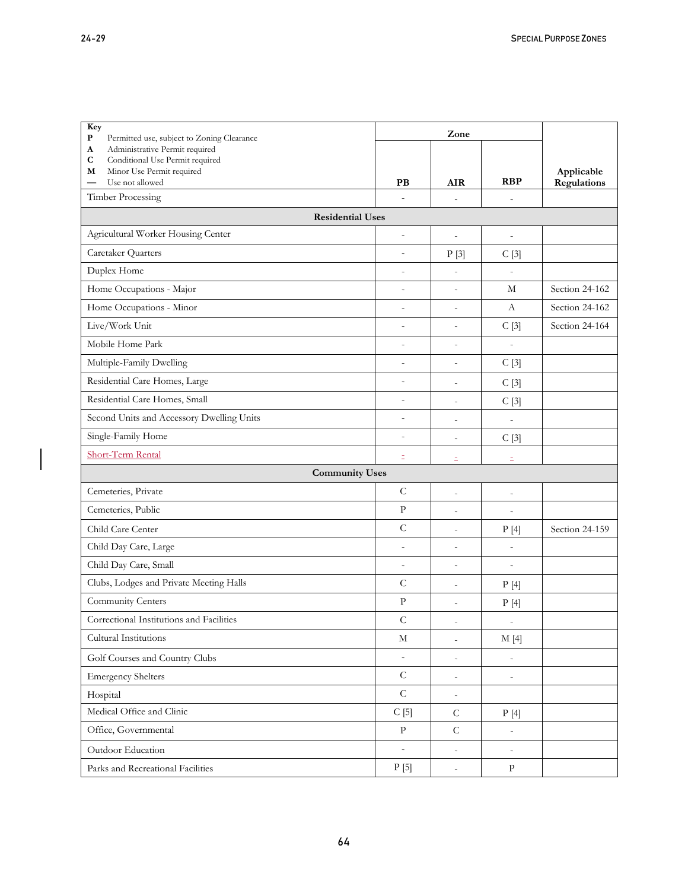| Key<br>P<br>Permitted use, subject to Zoning Clearance                           | Zone                     |                          |                          |                |
|----------------------------------------------------------------------------------|--------------------------|--------------------------|--------------------------|----------------|
| Administrative Permit required<br>A                                              |                          |                          |                          |                |
| $\mathbf C$<br>Conditional Use Permit required<br>Minor Use Permit required<br>М |                          |                          |                          | Applicable     |
| Use not allowed<br>—                                                             | PB                       | <b>AIR</b>               | <b>RBP</b>               | Regulations    |
| Timber Processing                                                                | $\overline{a}$           | $\overline{a}$           |                          |                |
| <b>Residential Uses</b>                                                          |                          |                          |                          |                |
| Agricultural Worker Housing Center                                               | $\overline{\phantom{a}}$ | $\overline{a}$           | $\overline{\phantom{0}}$ |                |
| Caretaker Quarters                                                               | $\overline{\phantom{a}}$ | P[3]                     | C[3]                     |                |
| Duplex Home                                                                      | $\overline{a}$           | $\overline{a}$           | $\overline{a}$           |                |
| Home Occupations - Major                                                         | $\overline{a}$           | $\overline{a}$           | М                        | Section 24-162 |
| Home Occupations - Minor                                                         | $\overline{\phantom{a}}$ | $\overline{a}$           | A                        | Section 24-162 |
| Live/Work Unit                                                                   | $\overline{\phantom{a}}$ | $\overline{a}$           | C[3]                     | Section 24-164 |
| Mobile Home Park                                                                 | $\overline{\phantom{a}}$ |                          |                          |                |
| Multiple-Family Dwelling                                                         | $\overline{\phantom{a}}$ | $\overline{a}$           | C[3]                     |                |
| Residential Care Homes, Large                                                    | $\overline{\phantom{a}}$ | $\overline{\phantom{m}}$ | C[3]                     |                |
| Residential Care Homes, Small                                                    | $\overline{\phantom{a}}$ | $\overline{a}$           | C[3]                     |                |
| Second Units and Accessory Dwelling Units                                        | $\overline{a}$           | $\overline{a}$           | $\overline{\phantom{0}}$ |                |
| Single-Family Home                                                               | $\overline{\phantom{a}}$ | $\overline{\phantom{m}}$ | C[3]                     |                |
| <b>Short-Term Rental</b>                                                         | Ξ                        | Ξ                        | Ξ                        |                |
| <b>Community Uses</b>                                                            |                          |                          |                          |                |
| Cemeteries, Private                                                              | $\mathsf C$              | $\overline{a}$           | $\qquad \qquad -$        |                |
| Cemeteries, Public                                                               | $\, {\bf p}$             | $\overline{a}$           | $\overline{a}$           |                |
| Child Care Center                                                                | $\mathsf C$              | $\overline{a}$           | P[4]                     | Section 24-159 |
| Child Day Care, Large                                                            | $\overline{a}$           | $\overline{a}$           | $\overline{a}$           |                |
| Child Day Care, Small                                                            | $\overline{\phantom{a}}$ | $\overline{a}$           | $\frac{1}{2}$            |                |
| Clubs, Lodges and Private Meeting Halls                                          | $\mathsf C$              | $\overline{a}$           | P[4]                     |                |
| Community Centers                                                                | $\mathbf{P}$             | $\overline{a}$           | P[4]                     |                |
| Correctional Institutions and Facilities                                         | $\mathsf C$              | $\overline{a}$           | $\overline{\phantom{a}}$ |                |
| Cultural Institutions                                                            | $\mathbf M$              | $\overline{\phantom{a}}$ | M[4]                     |                |
| Golf Courses and Country Clubs                                                   | $\overline{\phantom{a}}$ | $\overline{\phantom{a}}$ | $\qquad \qquad -$        |                |
| <b>Emergency Shelters</b>                                                        | $\mathsf C$              | $\overline{\phantom{a}}$ | $\overline{\phantom{a}}$ |                |
| Hospital                                                                         | ${\bf C}$                | $\overline{\phantom{a}}$ |                          |                |
| Medical Office and Clinic                                                        | C[5]                     | ${\cal C}$               | P[4]                     |                |
| Office, Governmental                                                             | $\, {\bf p}$             | $\mathsf C$              | $\overline{\phantom{m}}$ |                |
| Outdoor Education                                                                | $\overline{\phantom{a}}$ | $\overline{\phantom{a}}$ | $\overline{\phantom{m}}$ |                |
| Parks and Recreational Facilities                                                | P[5]                     | $\overline{\phantom{a}}$ | $\, {\bf p}$             |                |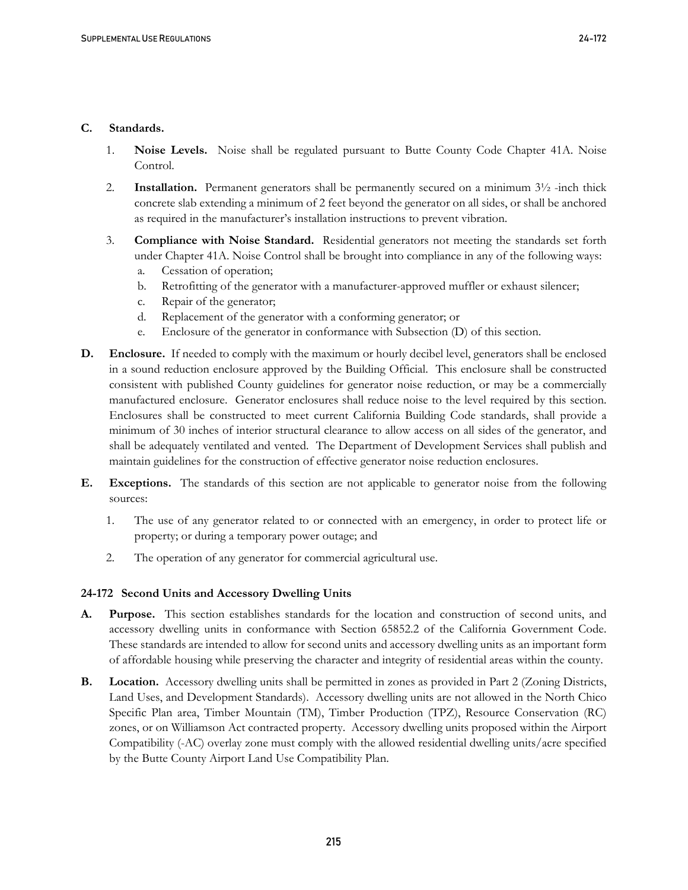#### **C. Standards.**

- 1. **Noise Levels.** Noise shall be regulated pursuant to Butte County Code Chapter 41A. Noise Control.
- 2. **Installation.** Permanent generators shall be permanently secured on a minimum 3½ -inch thick concrete slab extending a minimum of 2 feet beyond the generator on all sides, or shall be anchored as required in the manufacturer's installation instructions to prevent vibration.
- 3. **Compliance with Noise Standard.** Residential generators not meeting the standards set forth under Chapter 41A. Noise Control shall be brought into compliance in any of the following ways:
	- a. Cessation of operation;
	- b. Retrofitting of the generator with a manufacturer-approved muffler or exhaust silencer;
	- c. Repair of the generator;
	- d. Replacement of the generator with a conforming generator; or
	- e. Enclosure of the generator in conformance with Subsection (D) of this section.
- **D. Enclosure.** If needed to comply with the maximum or hourly decibel level, generators shall be enclosed in a sound reduction enclosure approved by the Building Official. This enclosure shall be constructed consistent with published County guidelines for generator noise reduction, or may be a commercially manufactured enclosure. Generator enclosures shall reduce noise to the level required by this section. Enclosures shall be constructed to meet current California Building Code standards, shall provide a minimum of 30 inches of interior structural clearance to allow access on all sides of the generator, and shall be adequately ventilated and vented. The Department of Development Services shall publish and maintain guidelines for the construction of effective generator noise reduction enclosures.
- **E. Exceptions.** The standards of this section are not applicable to generator noise from the following sources:
	- 1. The use of any generator related to or connected with an emergency, in order to protect life or property; or during a temporary power outage; and
	- 2. The operation of any generator for commercial agricultural use.

## **24-172 Second Units and Accessory Dwelling Units**

- **A. Purpose.** This section establishes standards for the location and construction of second units, and accessory dwelling units in conformance with Section 65852.2 of the California Government Code. These standards are intended to allow for second units and accessory dwelling units as an important form of affordable housing while preserving the character and integrity of residential areas within the county.
- **B. Location.** Accessory dwelling units shall be permitted in zones as provided in Part 2 (Zoning Districts, Land Uses, and Development Standards). Accessory dwelling units are not allowed in the North Chico Specific Plan area, Timber Mountain (TM), Timber Production (TPZ), Resource Conservation (RC) zones, or on Williamson Act contracted property. Accessory dwelling units proposed within the Airport Compatibility (-AC) overlay zone must comply with the allowed residential dwelling units/acre specified by the Butte County Airport Land Use Compatibility Plan.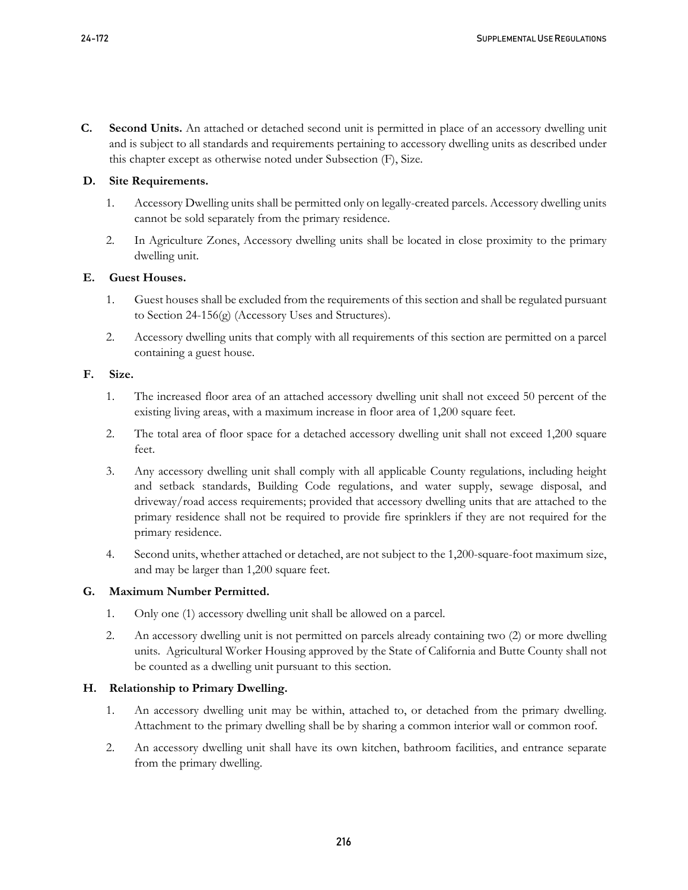**C. Second Units.** An attached or detached second unit is permitted in place of an accessory dwelling unit and is subject to all standards and requirements pertaining to accessory dwelling units as described under this chapter except as otherwise noted under Subsection (F), Size.

## **D. Site Requirements.**

- 1. Accessory Dwelling units shall be permitted only on legally-created parcels. Accessory dwelling units cannot be sold separately from the primary residence.
- 2. In Agriculture Zones, Accessory dwelling units shall be located in close proximity to the primary dwelling unit.

# **E. Guest Houses.**

- 1. Guest houses shall be excluded from the requirements of this section and shall be regulated pursuant to Section 24-156(g) (Accessory Uses and Structures).
- 2. Accessory dwelling units that comply with all requirements of this section are permitted on a parcel containing a guest house.

# **F. Size.**

- 1. The increased floor area of an attached accessory dwelling unit shall not exceed 50 percent of the existing living areas, with a maximum increase in floor area of 1,200 square feet.
- 2. The total area of floor space for a detached accessory dwelling unit shall not exceed 1,200 square feet.
- 3. Any accessory dwelling unit shall comply with all applicable County regulations, including height and setback standards, Building Code regulations, and water supply, sewage disposal, and driveway/road access requirements; provided that accessory dwelling units that are attached to the primary residence shall not be required to provide fire sprinklers if they are not required for the primary residence.
- 4. Second units, whether attached or detached, are not subject to the 1,200-square-foot maximum size, and may be larger than 1,200 square feet.

## **G. Maximum Number Permitted.**

- 1. Only one (1) accessory dwelling unit shall be allowed on a parcel.
- 2. An accessory dwelling unit is not permitted on parcels already containing two (2) or more dwelling units. Agricultural Worker Housing approved by the State of California and Butte County shall not be counted as a dwelling unit pursuant to this section.

# **H. Relationship to Primary Dwelling.**

- 1. An accessory dwelling unit may be within, attached to, or detached from the primary dwelling. Attachment to the primary dwelling shall be by sharing a common interior wall or common roof.
- 2. An accessory dwelling unit shall have its own kitchen, bathroom facilities, and entrance separate from the primary dwelling.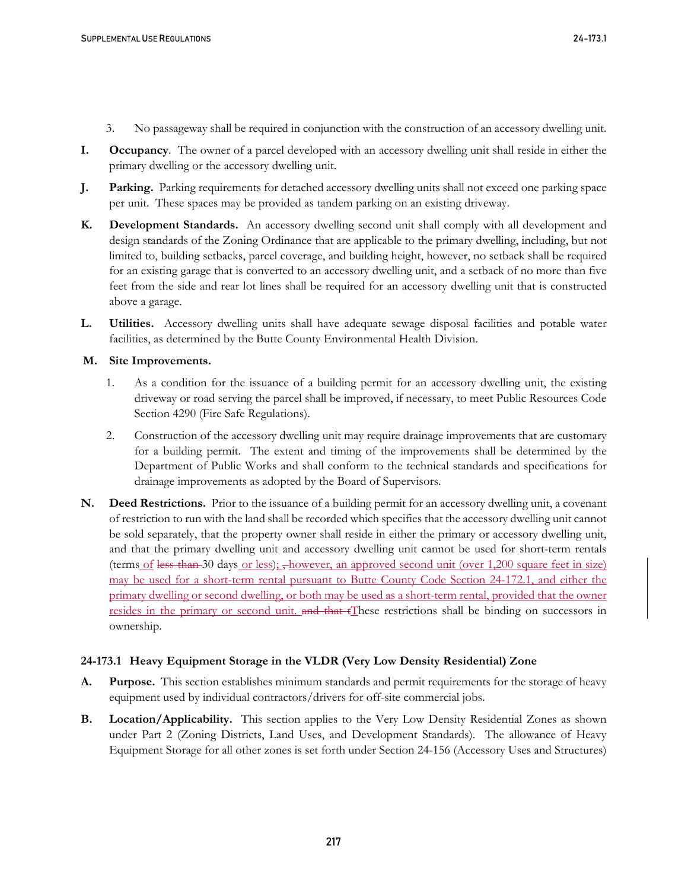- 3. No passageway shall be required in conjunction with the construction of an accessory dwelling unit.
- **I. Occupancy**. The owner of a parcel developed with an accessory dwelling unit shall reside in either the primary dwelling or the accessory dwelling unit.
- **J. Parking.** Parking requirements for detached accessory dwelling units shall not exceed one parking space per unit. These spaces may be provided as tandem parking on an existing driveway.
- **K. Development Standards.** An accessory dwelling second unit shall comply with all development and design standards of the Zoning Ordinance that are applicable to the primary dwelling, including, but not limited to, building setbacks, parcel coverage, and building height, however, no setback shall be required for an existing garage that is converted to an accessory dwelling unit, and a setback of no more than five feet from the side and rear lot lines shall be required for an accessory dwelling unit that is constructed above a garage.
- **L. Utilities.** Accessory dwelling units shall have adequate sewage disposal facilities and potable water facilities, as determined by the Butte County Environmental Health Division.

#### **M. Site Improvements.**

- 1. As a condition for the issuance of a building permit for an accessory dwelling unit, the existing driveway or road serving the parcel shall be improved, if necessary, to meet Public Resources Code Section 4290 (Fire Safe Regulations).
- 2. Construction of the accessory dwelling unit may require drainage improvements that are customary for a building permit. The extent and timing of the improvements shall be determined by the Department of Public Works and shall conform to the technical standards and specifications for drainage improvements as adopted by the Board of Supervisors.
- **N. Deed Restrictions.** Prior to the issuance of a building permit for an accessory dwelling unit, a covenant of restriction to run with the land shall be recorded which specifies that the accessory dwelling unit cannot be sold separately, that the property owner shall reside in either the primary or accessory dwelling unit, and that the primary dwelling unit and accessory dwelling unit cannot be used for short-term rentals (terms of less than 30 days or less); however, an approved second unit (over 1,200 square feet in size) may be used for a short-term rental pursuant to Butte County Code Section 24-172.1, and either the primary dwelling or second dwelling, or both may be used as a short-term rental, provided that the owner resides in the primary or second unit. and that tThese restrictions shall be binding on successors in ownership.

## **24-173.1 Heavy Equipment Storage in the VLDR (Very Low Density Residential) Zone**

- **A. Purpose.** This section establishes minimum standards and permit requirements for the storage of heavy equipment used by individual contractors/drivers for off-site commercial jobs.
- **B. Location/Applicability.** This section applies to the Very Low Density Residential Zones as shown under Part 2 (Zoning Districts, Land Uses, and Development Standards). The allowance of Heavy Equipment Storage for all other zones is set forth under Section 24-156 (Accessory Uses and Structures)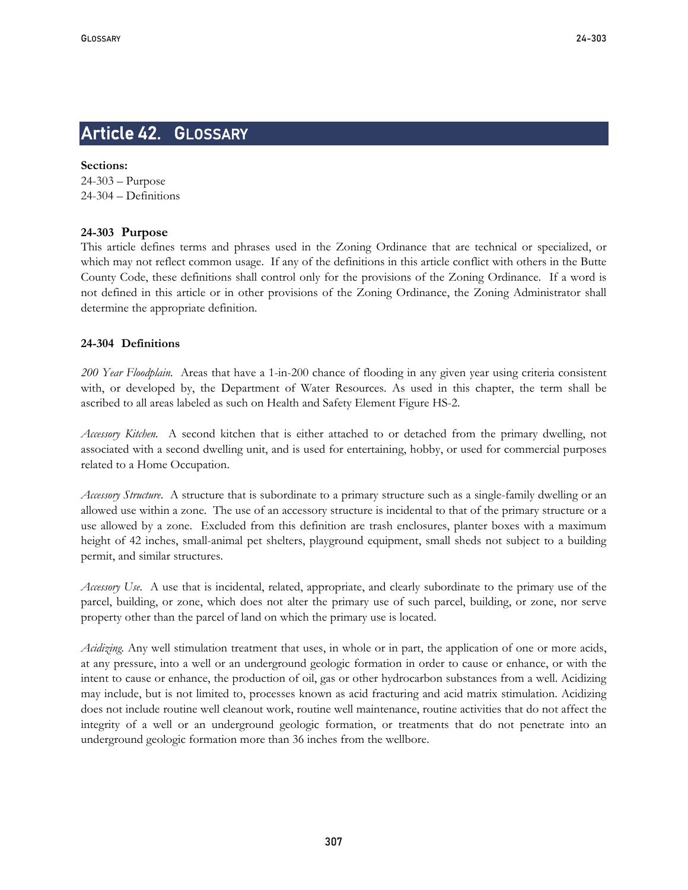# Article 42. GLOSSARY

**Sections:**  24-303 – Purpose 24-304 – Definitions

## **24-303 Purpose**

This article defines terms and phrases used in the Zoning Ordinance that are technical or specialized, or which may not reflect common usage. If any of the definitions in this article conflict with others in the Butte County Code, these definitions shall control only for the provisions of the Zoning Ordinance. If a word is not defined in this article or in other provisions of the Zoning Ordinance, the Zoning Administrator shall determine the appropriate definition.

#### **24-304 Definitions**

*200 Year Floodplain.* Areas that have a 1-in-200 chance of flooding in any given year using criteria consistent with, or developed by, the Department of Water Resources. As used in this chapter, the term shall be ascribed to all areas labeled as such on Health and Safety Element Figure HS-2.

*Accessory Kitchen.* A second kitchen that is either attached to or detached from the primary dwelling, not associated with a second dwelling unit, and is used for entertaining, hobby, or used for commercial purposes related to a Home Occupation.

*Accessory Structure*. A structure that is subordinate to a primary structure such as a single-family dwelling or an allowed use within a zone. The use of an accessory structure is incidental to that of the primary structure or a use allowed by a zone. Excluded from this definition are trash enclosures, planter boxes with a maximum height of 42 inches, small-animal pet shelters, playground equipment, small sheds not subject to a building permit, and similar structures.

*Accessory Use.* A use that is incidental, related, appropriate, and clearly subordinate to the primary use of the parcel, building, or zone, which does not alter the primary use of such parcel, building, or zone, nor serve property other than the parcel of land on which the primary use is located.

*Acidizing.* Any well stimulation treatment that uses, in whole or in part, the application of one or more acids, at any pressure, into a well or an underground geologic formation in order to cause or enhance, or with the intent to cause or enhance, the production of oil, gas or other hydrocarbon substances from a well. Acidizing may include, but is not limited to, processes known as acid fracturing and acid matrix stimulation. Acidizing does not include routine well cleanout work, routine well maintenance, routine activities that do not affect the integrity of a well or an underground geologic formation, or treatments that do not penetrate into an underground geologic formation more than 36 inches from the wellbore.